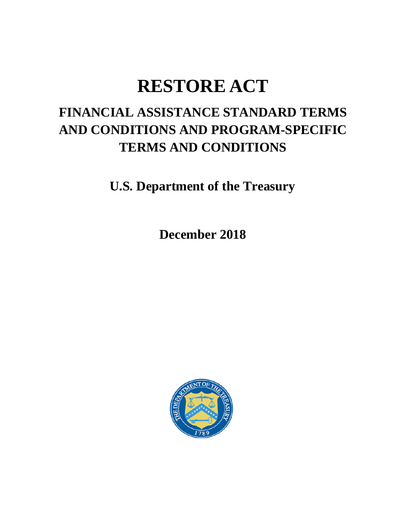# **RESTORE ACT**

## **FINANCIAL ASSISTANCE STANDARD TERMS AND CONDITIONS AND PROGRAM-SPECIFIC TERMS AND CONDITIONS**

**U.S. Department of the Treasury**

**December 2018**

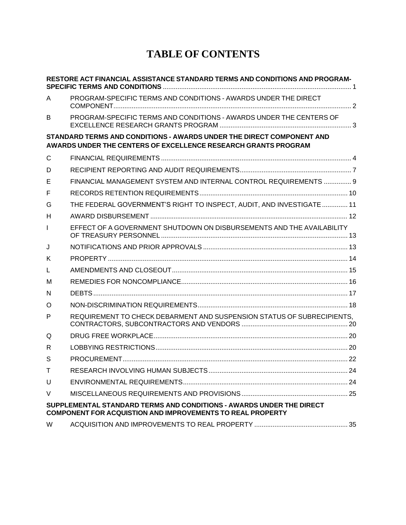### **TABLE OF CONTENTS**

|                                                                                                                                         | RESTORE ACT FINANCIAL ASSISTANCE STANDARD TERMS AND CONDITIONS AND PROGRAM-                                                               |  |
|-----------------------------------------------------------------------------------------------------------------------------------------|-------------------------------------------------------------------------------------------------------------------------------------------|--|
| A                                                                                                                                       | PROGRAM-SPECIFIC TERMS AND CONDITIONS - AWARDS UNDER THE DIRECT                                                                           |  |
| B                                                                                                                                       | PROGRAM-SPECIFIC TERMS AND CONDITIONS - AWARDS UNDER THE CENTERS OF                                                                       |  |
| STANDARD TERMS AND CONDITIONS - AWARDS UNDER THE DIRECT COMPONENT AND<br>AWARDS UNDER THE CENTERS OF EXCELLENCE RESEARCH GRANTS PROGRAM |                                                                                                                                           |  |
| C                                                                                                                                       |                                                                                                                                           |  |
| D                                                                                                                                       |                                                                                                                                           |  |
| E                                                                                                                                       | FINANCIAL MANAGEMENT SYSTEM AND INTERNAL CONTROL REQUIREMENTS  9                                                                          |  |
| F                                                                                                                                       |                                                                                                                                           |  |
| G                                                                                                                                       | THE FEDERAL GOVERNMENT'S RIGHT TO INSPECT, AUDIT, AND INVESTIGATE  11                                                                     |  |
| H                                                                                                                                       |                                                                                                                                           |  |
| $\mathbf{I}$                                                                                                                            | EFFECT OF A GOVERNMENT SHUTDOWN ON DISBURSEMENTS AND THE AVAILABILITY                                                                     |  |
| J                                                                                                                                       |                                                                                                                                           |  |
| K                                                                                                                                       |                                                                                                                                           |  |
| L                                                                                                                                       |                                                                                                                                           |  |
| м                                                                                                                                       |                                                                                                                                           |  |
| N                                                                                                                                       |                                                                                                                                           |  |
| O                                                                                                                                       |                                                                                                                                           |  |
| P                                                                                                                                       | REQUIREMENT TO CHECK DEBARMENT AND SUSPENSION STATUS OF SUBRECIPIENTS,                                                                    |  |
| Q                                                                                                                                       |                                                                                                                                           |  |
| R                                                                                                                                       |                                                                                                                                           |  |
| S                                                                                                                                       |                                                                                                                                           |  |
| T.                                                                                                                                      |                                                                                                                                           |  |
| U                                                                                                                                       |                                                                                                                                           |  |
| V                                                                                                                                       |                                                                                                                                           |  |
|                                                                                                                                         | SUPPLEMENTAL STANDARD TERMS AND CONDITIONS - AWARDS UNDER THE DIRECT<br><b>COMPONENT FOR ACQUISTION AND IMPROVEMENTS TO REAL PROPERTY</b> |  |
| W                                                                                                                                       |                                                                                                                                           |  |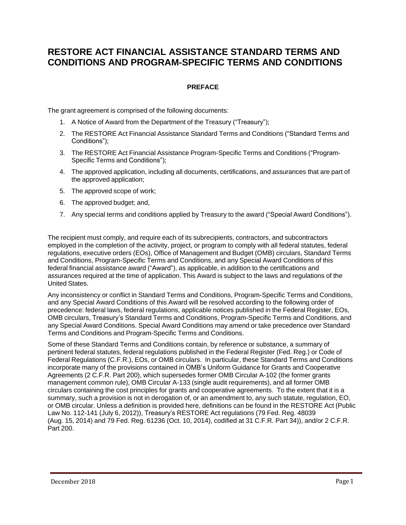### <span id="page-2-0"></span>**RESTORE ACT FINANCIAL ASSISTANCE STANDARD TERMS AND CONDITIONS AND PROGRAM-SPECIFIC TERMS AND CONDITIONS**

#### **PREFACE**

The grant agreement is comprised of the following documents:

- 1. A Notice of Award from the Department of the Treasury ("Treasury");
- 2. The RESTORE Act Financial Assistance Standard Terms and Conditions ("Standard Terms and Conditions");
- 3. The RESTORE Act Financial Assistance Program-Specific Terms and Conditions ("Program-Specific Terms and Conditions");
- 4. The approved application, including all documents, certifications, and assurances that are part of the approved application;
- 5. The approved scope of work;
- 6. The approved budget; and,
- 7. Any special terms and conditions applied by Treasury to the award ("Special Award Conditions").

The recipient must comply, and require each of its subrecipients, contractors, and subcontractors employed in the completion of the activity, project, or program to comply with all federal statutes, federal regulations, executive orders (EOs), Office of Management and Budget (OMB) circulars, Standard Terms and Conditions, Program-Specific Terms and Conditions, and any Special Award Conditions of this federal financial assistance award ("Award"), as applicable, in addition to the certifications and assurances required at the time of application. This Award is subject to the laws and regulations of the United States.

Any inconsistency or conflict in Standard Terms and Conditions, Program-Specific Terms and Conditions, and any Special Award Conditions of this Award will be resolved according to the following order of precedence: federal laws, federal regulations, applicable notices published in the Federal Register, EOs, OMB circulars, Treasury's Standard Terms and Conditions, Program-Specific Terms and Conditions, and any Special Award Conditions. Special Award Conditions may amend or take precedence over Standard Terms and Conditions and Program-Specific Terms and Conditions.

Some of these Standard Terms and Conditions contain, by reference or substance, a summary of pertinent federal statutes, federal regulations published in the Federal Register (Fed. Reg.) or Code of Federal Regulations (C.F.R.), EOs, or OMB circulars. In particular, these Standard Terms and Conditions incorporate many of the provisions contained in OMB's Uniform Guidance for Grants and Cooperative Agreements (2 C.F.R. Part 200), which supersedes former OMB Circular A-102 (the former grants management common rule), OMB Circular A-133 (single audit requirements), and all former OMB circulars containing the cost principles for grants and cooperative agreements. To the extent that it is a summary, such a provision is not in derogation of, or an amendment to, any such statute, regulation, EO, or OMB circular. Unless a definition is provided here, definitions can be found in the RESTORE Act (Public Law No. 112-141 (July 6, 2012)), Treasury's RESTORE Act regulations (79 Fed. Reg. 48039 (Aug. 15, 2014) and 79 Fed. Reg. 61236 (Oct. 10, 2014), codified at 31 C.F.R. Part 34)), and/or 2 C.F.R. Part 200.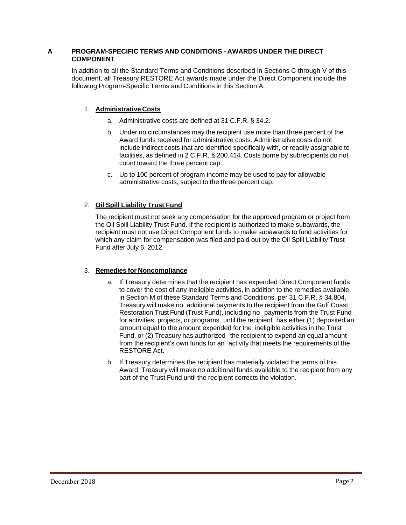#### <span id="page-3-0"></span>**A PROGRAM-SPECIFIC TERMS AND CONDITIONS - AWARDS UNDER THE DIRECT COMPONENT**

In addition to all the Standard Terms and Conditions described in Sections C through V of this document, all Treasury RESTORE Act awards made under the Direct Component include the following Program-Specific Terms and Conditions in this Section A:

#### 1. **Administrative Costs**

- a. Administrative costs are defined at 31 C.F.R. § 34.2.
- b. Under no circumstances may the recipient use more than three percent of the Award funds received for administrative costs. Administrative costs do not include indirect costs that are identified specifically with, or readily assignable to facilities, as defined in 2 C.F.R. § 200.414. Costs borne by subrecipients do not count toward the three percent cap.
- c. Up to 100 percent of program income may be used to pay for allowable administrative costs, subject to the three percent cap.

#### 2. **Oil Spill Liability Trust Fund**

The recipient must not seek any compensation for the approved program or project from the Oil Spill Liability Trust Fund. If the recipient is authorized to make subawards, the recipient must not use Direct Component funds to make subawards to fund activities for which any claim for compensation was filed and paid out by the Oil Spill Liability Trust Fund after July 6, 2012.

#### 3. **Remedies for Noncompliance**

- a. If Treasury determines that the recipient has expended Direct Component funds to cover the cost of any ineligible activities, in addition to the remedies available in Section M of these Standard Terms and Conditions, per 31 C.F.R. § 34.804, Treasury will make no additional payments to the recipient from the Gulf Coast Restoration Trust Fund (Trust Fund), including no payments from the Trust Fund for activities, projects, or programs until the recipient has either (1) deposited an amount equal to the amount expended for the ineligible activities in the Trust Fund, or (2) Treasury has authorized the recipient to expend an equal amount from the recipient's own funds for an activity that meets the requirements of the RESTORE Act.
- b. If Treasury determines the recipient has materially violated the terms of this Award, Treasury will make no additional funds available to the recipient from any part of the Trust Fund until the recipient corrects the violation.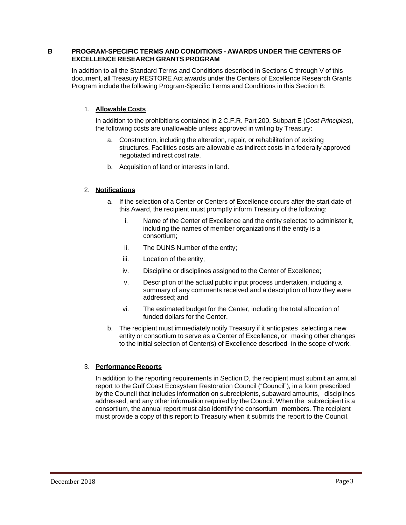#### <span id="page-4-0"></span>**B PROGRAM-SPECIFIC TERMS AND CONDITIONS - AWARDS UNDER THE CENTERS OF EXCELLENCE RESEARCH GRANTS PROGRAM**

In addition to all the Standard Terms and Conditions described in Sections C through V of this document, all Treasury RESTORE Act awards under the Centers of Excellence Research Grants Program include the following Program-Specific Terms and Conditions in this Section B:

#### 1. **Allowable Costs**

In addition to the prohibitions contained in 2 C.F.R. Part 200, Subpart E (*Cost Principles*), the following costs are unallowable unless approved in writing by Treasury:

- a. Construction, including the alteration, repair, or rehabilitation of existing structures. Facilities costs are allowable as indirect costs in a federally approved negotiated indirect cost rate.
- b. Acquisition of land or interests in land.

#### 2. **Notifications**

- a. If the selection of a Center or Centers of Excellence occurs after the start date of this Award, the recipient must promptly inform Treasury of the following:
	- i. Name of the Center of Excellence and the entity selected to administer it, including the names of member organizations if the entity is a consortium;
	- ii. The DUNS Number of the entity;
	- iii. Location of the entity;
	- iv. Discipline or disciplines assigned to the Center of Excellence;
	- v. Description of the actual public input process undertaken, including a summary of any comments received and a description of how they were addressed; and
	- vi. The estimated budget for the Center, including the total allocation of funded dollars for the Center.
- b. The recipient must immediately notify Treasury if it anticipates selecting a new entity or consortium to serve as a Center of Excellence, or making other changes to the initial selection of Center(s) of Excellence described in the scope of work.

#### 3. **Performance Reports**

In addition to the reporting requirements in Section D, the recipient must submit an annual report to the Gulf Coast Ecosystem Restoration Council ("Council"), in a form prescribed by the Council that includes information on subrecipients, subaward amounts, disciplines addressed, and any other information required by the Council. When the subrecipient is a consortium, the annual report must also identify the consortium members. The recipient must provide a copy of this report to Treasury when it submits the report to the Council.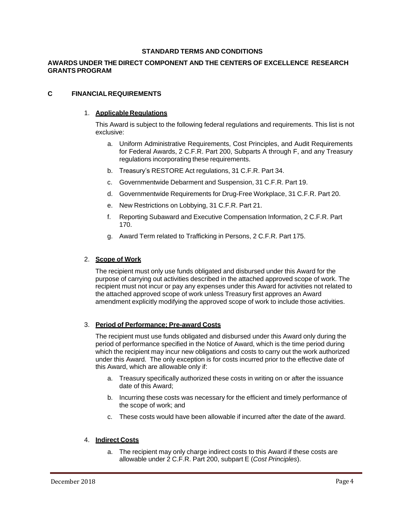#### **STANDARD TERMS AND CONDITIONS**

#### **AWARDS UNDER THE DIRECT COMPONENT AND THE CENTERS OF EXCELLENCE RESEARCH GRANTS PROGRAM**

#### <span id="page-5-0"></span>**C FINANCIALREQUIREMENTS**

#### 1. **Applicable Regulations**

This Award is subject to the following federal regulations and requirements. This list is not exclusive:

- a. Uniform Administrative Requirements, Cost Principles, and Audit Requirements for Federal Awards, 2 C.F.R. Part 200, Subparts A through F, and any Treasury regulations incorporating these requirements.
- b. Treasury's RESTORE Act regulations, 31 C.F.R. Part 34.
- c. Governmentwide Debarment and Suspension, 31 C.F.R. Part 19.
- d. Governmentwide Requirements for Drug-Free Workplace, 31 C.F.R. Part 20.
- e. New Restrictions on Lobbying, 31 C.F.R. Part 21.
- f. Reporting Subaward and Executive Compensation Information, 2 C.F.R. Part 170.
- g. Award Term related to Trafficking in Persons, 2 C.F.R. Part 175.

#### 2. **Scope of Work**

The recipient must only use funds obligated and disbursed under this Award for the purpose of carrying out activities described in the attached approved scope of work. The recipient must not incur or pay any expenses under this Award for activities not related to the attached approved scope of work unless Treasury first approves an Award amendment explicitly modifying the approved scope of work to include those activities.

#### 3. **Period of Performance; Pre-award Costs**

The recipient must use funds obligated and disbursed under this Award only during the period of performance specified in the Notice of Award, which is the time period during which the recipient may incur new obligations and costs to carry out the work authorized under this Award. The only exception is for costs incurred prior to the effective date of this Award, which are allowable only if:

- a. Treasury specifically authorized these costs in writing on or after the issuance date of this Award;
- b. Incurring these costs was necessary for the efficient and timely performance of the scope of work; and
- c. These costs would have been allowable if incurred after the date of the award.

#### 4. **Indirect Costs**

a. The recipient may only charge indirect costs to this Award if these costs are allowable under 2 C.F.R. Part 200, subpart E (*Cost Principles*).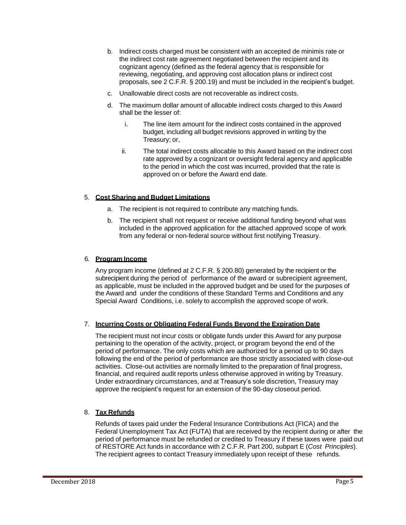- b. Indirect costs charged must be consistent with an accepted de minimis rate or the indirect cost rate agreement negotiated between the recipient and its cognizant agency (defined as the federal agency that is responsible for reviewing, negotiating, and approving cost allocation plans or indirect cost proposals, see 2 C.F.R. § 200.19) and must be included in the recipient's budget.
- c. Unallowable direct costs are not recoverable as indirect costs.
- d. The maximum dollar amount of allocable indirect costs charged to this Award shall be the lesser of:
	- i. The line item amount for the indirect costs contained in the approved budget, including all budget revisions approved in writing by the Treasury; or,
	- ii. The total indirect costs allocable to this Award based on the indirect cost rate approved by a cognizant or oversight federal agency and applicable to the period in which the cost was incurred, provided that the rate is approved on or before the Award end date.

#### 5. **Cost Sharing and Budget Limitations**

- a. The recipient is not required to contribute any matching funds.
- b. The recipient shall not request or receive additional funding beyond what was included in the approved application for the attached approved scope of work from any federal or non-federal source without first notifying Treasury.

#### 6. **Program Income**

Any program income (defined at 2 C.F.R. § 200.80) generated by the recipient or the subrecipient during the period of performance of the award or subrecipient agreement, as applicable, must be included in the approved budget and be used for the purposes of the Award and under the conditions of these Standard Terms and Conditions and any Special Award Conditions, i.e. solely to accomplish the approved scope of work.

#### 7. **Incurring Costs or Obligating Federal Funds Beyond the Expiration Date**

The recipient must not incur costs or obligate funds under this Award for any purpose pertaining to the operation of the activity, project, or program beyond the end of the period of performance. The only costs which are authorized for a period up to 90 days following the end of the period of performance are those strictly associated with close-out activities. Close-out activities are normally limited to the preparation of final progress, financial, and required audit reports unless otherwise approved in writing by Treasury. Under extraordinary circumstances, and at Treasury's sole discretion, Treasury may approve the recipient's request for an extension of the 90-day closeout period.

#### 8. **Tax Refunds**

Refunds of taxes paid under the Federal Insurance Contributions Act (FICA) and the Federal Unemployment Tax Act (FUTA) that are received by the recipient during or after the period of performance must be refunded or credited to Treasury if these taxes were paid out of RESTORE Act funds in accordance with 2 C.F.R. Part 200, subpart E (*Cost Principles*). The recipient agrees to contact Treasury immediately upon receipt of these refunds.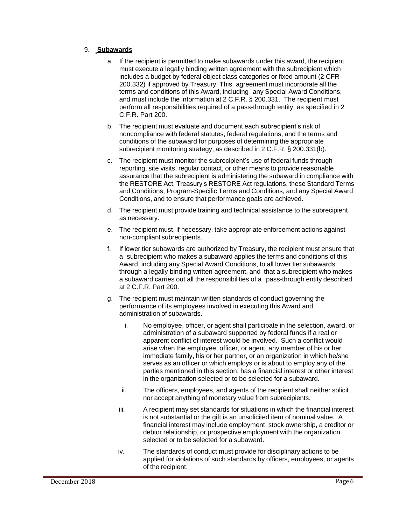#### 9. **Subawards**

- a. If the recipient is permitted to make subawards under this award, the recipient must execute a legally binding written agreement with the subrecipient which includes a budget by federal object class categories or fixed amount (2 CFR 200.332) if approved by Treasury. This agreement must incorporate all the terms and conditions of this Award, including any Special Award Conditions, and must include the information at 2 C.F.R. § 200.331. The recipient must perform all responsibilities required of a pass-through entity, as specified in 2 C.F.R. Part 200.
- b. The recipient must evaluate and document each subrecipient's risk of noncompliance with federal statutes, federal regulations, and the terms and conditions of the subaward for purposes of determining the appropriate subrecipient monitoring strategy, as described in 2 C.F.R. § 200.331(b).
- c. The recipient must monitor the subrecipient's use of federal funds through reporting, site visits, regular contact, or other means to provide reasonable assurance that the subrecipient is administering the subaward in compliance with the RESTORE Act, Treasury's RESTORE Act regulations, these Standard Terms and Conditions, Program-Specific Terms and Conditions, and any Special Award Conditions, and to ensure that performance goals are achieved.
- d. The recipient must provide training and technical assistance to the subrecipient as necessary.
- e. The recipient must, if necessary, take appropriate enforcement actions against non-compliant subrecipients.
- f. If lower tier subawards are authorized by Treasury, the recipient must ensure that a subrecipient who makes a subaward applies the terms and conditions of this Award, including any Special Award Conditions, to all lower tier subawards through a legally binding written agreement, and that a subrecipient who makes a subaward carries out all the responsibilities of a pass-through entity described at 2 C.F.R. Part 200.
- g. The recipient must maintain written standards of conduct governing the performance of its employees involved in executing this Award and administration of subawards.
	- i. No employee, officer, or agent shall participate in the selection, award, or administration of a subaward supported by federal funds if a real or apparent conflict of interest would be involved. Such a conflict would arise when the employee, officer, or agent, any member of his or her immediate family, his or her partner, or an organization in which he/she serves as an officer or which employs or is about to employ any of the parties mentioned in this section, has a financial interest or other interest in the organization selected or to be selected for a subaward.
	- ii. The officers, employees, and agents of the recipient shall neither solicit nor accept anything of monetary value from subrecipients.
	- iii. A recipient may set standards for situations in which the financial interest is not substantial or the gift is an unsolicited item of nominal value. A financial interest may include employment, stock ownership, a creditor or debtor relationship, or prospective employment with the organization selected or to be selected for a subaward.
	- iv. The standards of conduct must provide for disciplinary actions to be applied for violations of such standards by officers, employees, or agents of the recipient.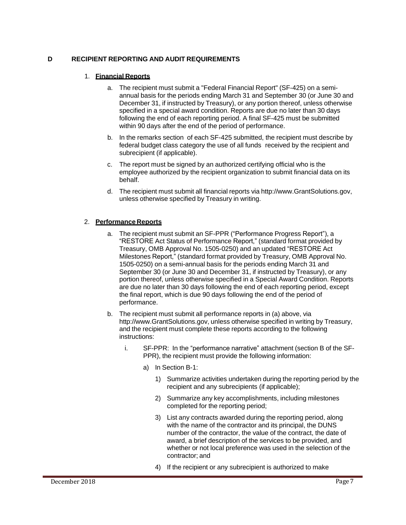#### <span id="page-8-0"></span>**D RECIPIENT REPORTING AND AUDIT REQUIREMENTS**

#### 1. **Financial Reports**

- a. The recipient must submit a "Federal Financial Report" (SF-425) on a semiannual basis for the periods ending March 31 and September 30 (or June 30 and December 31, if instructed by Treasury), or any portion thereof, unless otherwise specified in a special award condition. Reports are due no later than 30 days following the end of each reporting period. A final SF-425 must be submitted within 90 days after the end of the period of performance.
- b. In the remarks section of each SF-425 submitted, the recipient must describe by federal budget class category the use of all funds received by the recipient and subrecipient (if applicable).
- c. The report must be signed by an authorized certifying official who is the employee authorized by the recipient organization to submit financial data on its behalf.
- d. The recipient must submit all financial reports via [http://www.GrantSolutions.gov,](http://www.grantsolutions.gov/) unless otherwise specified by Treasury in writing.

#### 2. **Performance Reports**

- a. The recipient must submit an SF-PPR ("Performance Progress Report"), a "RESTORE Act Status of Performance Report," (standard format provided by Treasury, OMB Approval No. 1505-0250) and an updated "RESTORE Act Milestones Report," (standard format provided by Treasury, OMB Approval No. 1505-0250) on a semi-annual basis for the periods ending March 31 and September 30 (or June 30 and December 31, if instructed by Treasury), or any portion thereof, unless otherwise specified in a Special Award Condition. Reports are due no later than 30 days following the end of each reporting period, except the final report, which is due 90 days following the end of the period of performance.
- b. The recipient must submit all performance reports in (a) above, via [http://www.GrantSolutions.gov,](http://www.grantsolutions.gov/) unless otherwise specified in writing by Treasury, and the recipient must complete these reports according to the following instructions:
	- i. SF-PPR: In the "performance narrative" attachment (section B of the SF-PPR), the recipient must provide the following information:
		- a) In Section B-1:
			- 1) Summarize activities undertaken during the reporting period by the recipient and any subrecipients (if applicable);
			- 2) Summarize any key accomplishments, including milestones completed for the reporting period;
			- 3) List any contracts awarded during the reporting period, along with the name of the contractor and its principal, the DUNS number of the contractor, the value of the contract, the date of award, a brief description of the services to be provided, and whether or not local preference was used in the selection of the contractor; and
			- 4) If the recipient or any subrecipient is authorized to make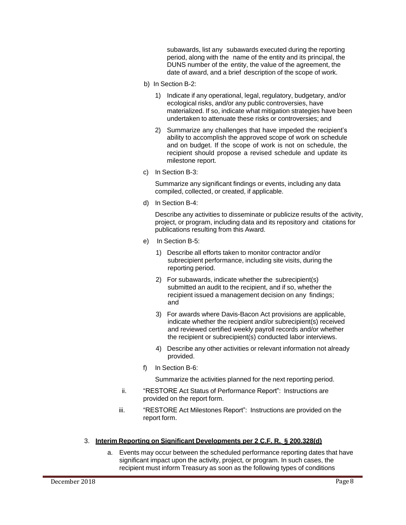subawards, list any subawards executed during the reporting period, along with the name of the entity and its principal, the DUNS number of the entity, the value of the agreement, the date of award, and a brief description of the scope of work.

- b) In Section B-2:
	- 1) Indicate if any operational, legal, regulatory, budgetary, and/or ecological risks, and/or any public controversies, have materialized. If so, indicate what mitigation strategies have been undertaken to attenuate these risks or controversies; and
	- 2) Summarize any challenges that have impeded the recipient's ability to accomplish the approved scope of work on schedule and on budget. If the scope of work is not on schedule, the recipient should propose a revised schedule and update its milestone report.
- c) In Section B-3:

Summarize any significant findings or events, including any data compiled, collected, or created, if applicable.

d) In Section B-4:

Describe any activities to disseminate or publicize results of the activity, project, or program, including data and its repository and citations for publications resulting from this Award.

- e) In Section B-5:
	- 1) Describe all efforts taken to monitor contractor and/or subrecipient performance, including site visits, during the reporting period.
	- 2) For subawards, indicate whether the subrecipient(s) submitted an audit to the recipient, and if so, whether the recipient issued a management decision on any findings; and
	- 3) For awards where Davis-Bacon Act provisions are applicable, indicate whether the recipient and/or subrecipient(s) received and reviewed certified weekly payroll records and/or whether the recipient or subrecipient(s) conducted labor interviews.
	- 4) Describe any other activities or relevant information not already provided.
- f) In Section B-6:

Summarize the activities planned for the next reporting period.

- ii. "RESTORE Act Status of Performance Report": Instructions are provided on the report form.
- iii. "RESTORE Act Milestones Report": Instructions are provided on the report form.

#### 3. **Interim Reporting on Significant Developments per 2 C.F. R. § 200.328(d)**

a. Events may occur between the scheduled performance reporting dates that have significant impact upon the activity, project, or program. In such cases, the recipient must inform Treasury as soon as the following types of conditions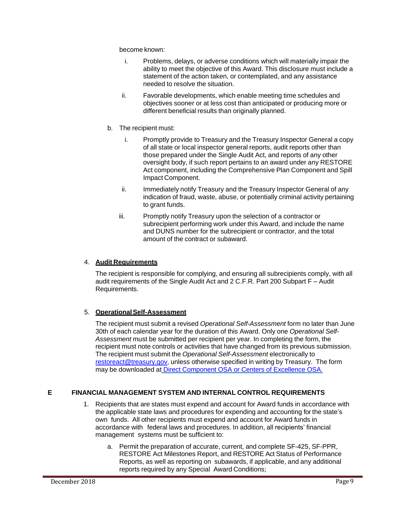become known:

- i. Problems, delays, or adverse conditions which will materially impair the ability to meet the objective of this Award. This disclosure must include a statement of the action taken, or contemplated, and any assistance needed to resolve the situation.
- ii. Favorable developments, which enable meeting time schedules and objectives sooner or at less cost than anticipated or producing more or different beneficial results than originally planned.
- b. The recipient must:
	- i. Promptly provide to Treasury and the Treasury Inspector General a copy of all state or local inspector general reports, audit reports other than those prepared under the Single Audit Act, and reports of any other oversight body, if such report pertains to an award under any RESTORE Act component, including the Comprehensive Plan Component and Spill Impact Component.
	- ii. Immediately notify Treasury and the Treasury Inspector General of any indication of fraud, waste, abuse, or potentially criminal activity pertaining to grant funds.
	- iii. Promptly notify Treasury upon the selection of a contractor or subrecipient performing work under this Award, and include the name and DUNS number for the subrecipient or contractor, and the total amount of the contract or subaward.

#### 4. **Audit Requirements**

The recipient is responsible for complying, and ensuring all subrecipients comply, with all audit requirements of the Single Audit Act and 2 C.F.R. Part 200 Subpart F – Audit Requirements.

#### 5. **OperationalSelf-Assessment**

The recipient must submit a revised *Operational Self-Assessment* form no later than June 30th of each calendar year for the duration of this Award. Only one *Operational Self-Assessment* must be submitted per recipient per year. In completing the form, the recipient must note controls or activities that have changed from its previous submission. The recipient must submit the *Operational Self-Assessment* electronically to [restoreact@treasury.gov,](mailto:restoreact@treasury.gov) unless otherwise specified in writing by Treasury. The form may be downloaded at [Direct Component OSA](https://www.treasury.gov/services/restore-act/Documents/RESTORE%20Act%20Direct%20Component%20and%20Centers%20of%20Excellence%20Operational%20Self-Assessment.pdf) or [Centers of Excellence OSA.](https://www.treasury.gov/services/restore-act/Documents/RESTORE%20Act%20Direct%20Component%20and%20Centers%20of%20Excellence%20Operational%20Self-Assessment.pdf)

#### <span id="page-10-0"></span>**E FINANCIAL MANAGEMENT SYSTEM AND INTERNAL CONTROL REQUIREMENTS**

- 1. Recipients that are states must expend and account for Award funds in accordance with the applicable state laws and procedures for expending and accounting for the state's own funds. All other recipients must expend and account for Award funds in accordance with federal laws and procedures. In addition, all recipients' financial management systems must be sufficient to:
	- a. Permit the preparation of accurate, current, and complete SF-425, SF-PPR, RESTORE Act Milestones Report, and RESTORE Act Status of Performance Reports, as well as reporting on subawards, if applicable, and any additional reports required by any Special Award Conditions;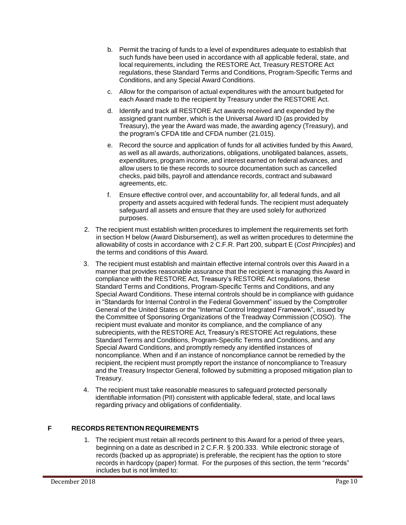- b. Permit the tracing of funds to a level of expenditures adequate to establish that such funds have been used in accordance with all applicable federal, state, and local requirements, including the RESTORE Act, Treasury RESTORE Act regulations, these Standard Terms and Conditions, Program-Specific Terms and Conditions, and any Special Award Conditions.
- c. Allow for the comparison of actual expenditures with the amount budgeted for each Award made to the recipient by Treasury under the RESTORE Act.
- d. Identify and track all RESTORE Act awards received and expended by the assigned grant number, which is the Universal Award ID (as provided by Treasury), the year the Award was made, the awarding agency (Treasury), and the program's CFDA title and CFDA number (21.015).
- e. Record the source and application of funds for all activities funded by this Award, as well as all awards, authorizations, obligations, unobligated balances, assets, expenditures, program income, and interest earned on federal advances, and allow users to tie these records to source documentation such as cancelled checks, paid bills, payroll and attendance records, contract and subaward agreements, etc.
- f. Ensure effective control over, and accountability for, all federal funds, and all property and assets acquired with federal funds. The recipient must adequately safeguard all assets and ensure that they are used solely for authorized purposes.
- 2. The recipient must establish written procedures to implement the requirements set forth in section H below (Award Disbursement), as well as written procedures to determine the allowability of costs in accordance with 2 C.F.R. Part 200, subpart E (*Cost Principles*) and the terms and conditions of this Award.
- 3. The recipient must establish and maintain effective internal controls over this Award in a manner that provides reasonable assurance that the recipient is managing this Award in compliance with the RESTORE Act, Treasury's RESTORE Act regulations, these Standard Terms and Conditions, Program-Specific Terms and Conditions, and any Special Award Conditions. These internal controls should be in compliance with guidance in "Standards for Internal Control in the Federal Government" issued by the Comptroller General of the United States or the "Internal Control Integrated Framework", issued by the Committee of Sponsoring Organizations of the Treadway Commission (COSO). The recipient must evaluate and monitor its compliance, and the compliance of any subrecipients, with the RESTORE Act, Treasury's RESTORE Act regulations, these Standard Terms and Conditions, Program-Specific Terms and Conditions, and any Special Award Conditions, and promptly remedy any identified instances of noncompliance. When and if an instance of noncompliance cannot be remedied by the recipient, the recipient must promptly report the instance of noncompliance to Treasury and the Treasury Inspector General, followed by submitting a proposed mitigation plan to Treasury.
- 4. The recipient must take reasonable measures to safeguard protected personally identifiable information (PII) consistent with applicable federal, state, and local laws regarding privacy and obligations of confidentiality.

#### <span id="page-11-0"></span>**F RECORDS RETENTION REQUIREMENTS**

1. The recipient must retain all records pertinent to this Award for a period of three years, beginning on a date as described in 2 C.F.R. § 200.333. While electronic storage of records (backed up as appropriate) is preferable, the recipient has the option to store records in hardcopy (paper) format. For the purposes of this section, the term "records" includes but is not limited to: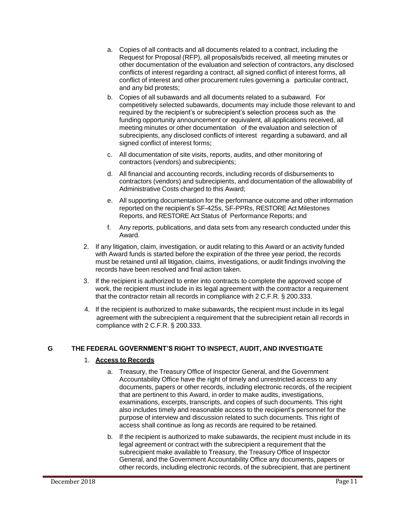- a. Copies of all contracts and all documents related to a contract, including the Request for Proposal (RFP), all proposals/bids received, all meeting minutes or other documentation of the evaluation and selection of contractors, any disclosed conflicts of interest regarding a contract, all signed conflict of interest forms, all conflict of interest and other procurement rules governing a particular contract, and any bid protests;
- b. Copies of all subawards and all documents related to a subaward. For competitively selected subawards, documents may include those relevant to and required by the recipient's or subrecipient's selection process such as the funding opportunity announcement or equivalent, all applications received, all meeting minutes or other documentation of the evaluation and selection of subrecipients, any disclosed conflicts of interest regarding a subaward, and all signed conflict of interest forms;
- c. All documentation of site visits, reports, audits, and other monitoring of contractors (vendors) and subrecipients;
- d. All financial and accounting records, including records of disbursements to contractors (vendors) and subrecipients, and documentation of the allowability of Administrative Costs charged to this Award;
- e. All supporting documentation for the performance outcome and other information reported on the recipient's SF-425s, SF-PPRs, RESTORE Act Milestones Reports, and RESTORE Act Status of Performance Reports; and
- f. Any reports, publications, and data sets from any research conducted under this Award.
- 2. If any litigation, claim, investigation, or audit relating to this Award or an activity funded with Award funds is started before the expiration of the three year period, the records must be retained until all litigation, claims, investigations, or audit findings involving the records have been resolved and final action taken.
- 3. If the recipient is authorized to enter into contracts to complete the approved scope of work, the recipient must include in its legal agreement with the contractor a requirement that the contractor retain all records in compliance with 2 C.F.R. § 200.333.
- 4. If the recipient is authorized to make subawards, the recipient must include in its legal agreement with the subrecipient a requirement that the subrecipient retain all records in compliance with 2 C.F.R. § 200.333.

#### <span id="page-12-0"></span>**G THE FEDERAL GOVERNMENT'S RIGHT TO INSPECT, AUDIT, AND INVESTIGATE**

#### 1. **Access to Records**

- a. Treasury, the Treasury Office of Inspector General, and the Government Accountability Office have the right of timely and unrestricted access to any documents, papers or other records, including electronic records, of the recipient that are pertinent to this Award, in order to make audits, investigations, examinations, excerpts, transcripts, and copies of such documents. This right also includes timely and reasonable access to the recipient's personnel for the purpose of interview and discussion related to such documents. This right of access shall continue as long as records are required to be retained.
- b. If the recipient is authorized to make subawards, the recipient must include in its legal agreement or contract with the subrecipient a requirement that the subrecipient make available to Treasury, the Treasury Office of Inspector General, and the Government Accountability Office any documents, papers or other records, including electronic records, of the subrecipient, that are pertinent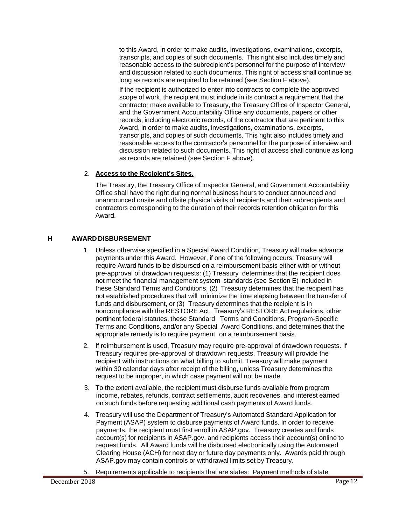to this Award, in order to make audits, investigations, examinations, excerpts, transcripts, and copies of such documents. This right also includes timely and reasonable access to the subrecipient's personnel for the purpose of interview and discussion related to such documents. This right of access shall continue as long as records are required to be retained (see Section F above). If the recipient is authorized to enter into contracts to complete the approved scope of work, the recipient must include in its contract a requirement that the contractor make available to Treasury, the Treasury Office of Inspector General, and the Government Accountability Office any documents, papers or other records, including electronic records, of the contractor that are pertinent to this Award, in order to make audits, investigations, examinations, excerpts, transcripts, and copies of such documents. This right also includes timely and reasonable access to the contractor's personnel for the purpose of interview and discussion related to such documents. This right of access shall continue as long as records are retained (see Section F above).

#### 2. **Access to the Recipient's Sites.**

The Treasury, the Treasury Office of Inspector General, and Government Accountability Office shall have the right during normal business hours to conduct announced and unannounced onsite and offsite physical visits of recipients and their subrecipients and contractors corresponding to the duration of their records retention obligation for this Award.

#### <span id="page-13-0"></span>**H AWARD DISBURSEMENT**

- 1. Unless otherwise specified in a Special Award Condition, Treasury will make advance payments under this Award. However, if one of the following occurs, Treasury will require Award funds to be disbursed on a reimbursement basis either with or without pre-approval of drawdown requests: (1) Treasury determines that the recipient does not meet the financial management system standards (see Section E) included in these Standard Terms and Conditions, (2) Treasury determines that the recipient has not established procedures that will minimize the time elapsing between the transfer of funds and disbursement, or (3) Treasury determines that the recipient is in noncompliance with the RESTORE Act, Treasury's RESTORE Act regulations, other pertinent federal statutes, these Standard Terms and Conditions, Program-Specific Terms and Conditions, and/or any Special Award Conditions, and determines that the appropriate remedy is to require payment on a reimbursement basis.
- 2. If reimbursement is used, Treasury may require pre-approval of drawdown requests. If Treasury requires pre-approval of drawdown requests, Treasury will provide the recipient with instructions on what billing to submit. Treasury will make payment within 30 calendar days after receipt of the billing, unless Treasury determines the request to be improper, in which case payment will not be made.
- 3. To the extent available, the recipient must disburse funds available from program income, rebates, refunds, contract settlements, audit recoveries, and interest earned on such funds before requesting additional cash payments of Award funds.
- 4. Treasury will use the Department of Treasury's Automated Standard Application for Payment (ASAP) system to disburse payments of Award funds. In order to receive payments, the recipient must first enroll in ASAP.gov. Treasury creates and funds account(s) for recipients in ASAP.gov, and recipients access their account(s) online to request funds. All Award funds will be disbursed electronically using the Automated Clearing House (ACH) for next day or future day payments only. Awards paid through ASAP.gov may contain controls or withdrawal limits set by Treasury.
- 5. Requirements applicable to recipients that are states: Payment methods of state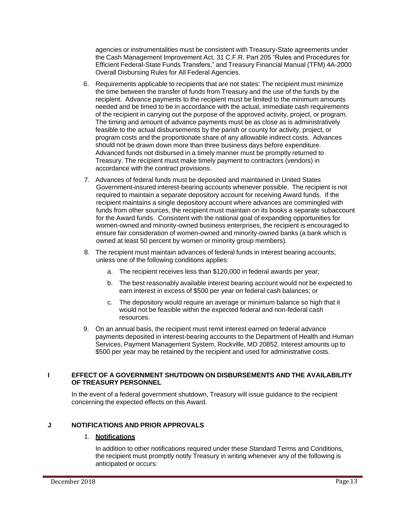agencies or instrumentalities must be consistent with Treasury-State agreements under the Cash Management Improvement Act, 31 C.F.R. Part 205 "Rules and Procedures for Efficient Federal-State Funds Transfers," and Treasury Financial Manual (TFM) 4A-2000 Overall Disbursing Rules for All Federal Agencies.

- 6. Requirements applicable to recipients that are not states: The recipient must minimize the time between the transfer of funds from Treasury and the use of the funds by the recipient. Advance payments to the recipient must be limited to the minimum amounts needed and be timed to be in accordance with the actual, immediate cash requirements of the recipient in carrying out the purpose of the approved activity, project, or program. The timing and amount of advance payments must be as close as is administratively feasible to the actual disbursements by the parish or county for activity, project, or program costs and the proportionate share of any allowable indirect costs. Advances should not be drawn down more than three business days before expenditure. Advanced funds not disbursed in a timely manner must be promptly returned to Treasury. The recipient must make timely payment to contractors (vendors) in accordance with the contract provisions.
- 7. Advances of federal funds must be deposited and maintained in United States Government-insured interest-bearing accounts whenever possible. The recipient is not required to maintain a separate depository account for receiving Award funds. If the recipient maintains a single depository account where advances are commingled with funds from other sources, the recipient must maintain on its books a separate subaccount for the Award funds. Consistent with the national goal of expanding opportunities for women-owned and minority-owned business enterprises, the recipient is encouraged to ensure fair consideration of women-owned and minority-owned banks (a bank which is owned at least 50 percent by women or minority group members).
- 8. The recipient must maintain advances of federal funds in interest bearing accounts, unless one of the following conditions applies:
	- a. The recipient receives less than \$120,000 in federal awards per year;
	- b. The best reasonably available interest bearing account would not be expected to earn interest in excess of \$500 per year on federal cash balances; or
	- c. The depository would require an average or minimum balance so high that it would not be feasible within the expected federal and non-federal cash resources.
- 9. On an annual basis, the recipient must remit interest earned on federal advance payments deposited in interest-bearing accounts to the Department of Health and Human Services, Payment Management System, Rockville, MD 20852. Interest amounts up to \$500 per year may be retained by the recipient and used for administrative costs.

#### <span id="page-14-0"></span>**I EFFECT OF A GOVERNMENT SHUTDOWN ON DISBURSEMENTS AND THE AVAILABILITY OF TREASURY PERSONNEL**

In the event of a federal government shutdown, Treasury will issue guidance to the recipient concerning the expected effects on this Award.

#### <span id="page-14-1"></span>**J NOTIFICATIONS AND PRIOR APPROVALS**

#### 1. **Notifications**

In addition to other notifications required under these Standard Terms and Conditions, the recipient must promptly notify Treasury in writing whenever any of the following is anticipated or occurs: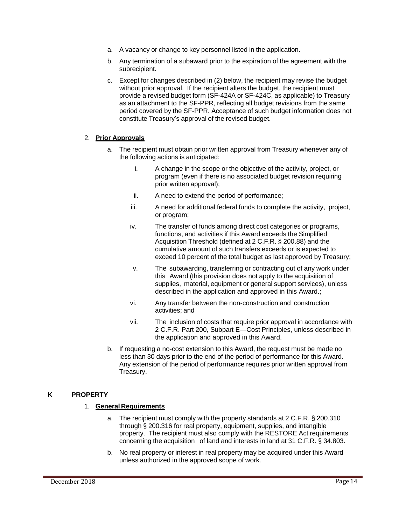- a. A vacancy or change to key personnel listed in the application.
- b. Any termination of a subaward prior to the expiration of the agreement with the subrecipient.
- c. Except for changes described in (2) below, the recipient may revise the budget without prior approval. If the recipient alters the budget, the recipient must provide a revised budget form (SF-424A or SF-424C, as applicable) to Treasury as an attachment to the SF-PPR, reflecting all budget revisions from the same period covered by the SF-PPR. Acceptance of such budget information does not constitute Treasury's approval of the revised budget.

#### 2. **Prior Approvals**

- a. The recipient must obtain prior written approval from Treasury whenever any of the following actions is anticipated:
	- i. A change in the scope or the objective of the activity, project, or program (even if there is no associated budget revision requiring prior written approval);
	- ii. A need to extend the period of performance;
	- iii. A need for additional federal funds to complete the activity, project, or program;
	- iv. The transfer of funds among direct cost categories or programs, functions, and activities if this Award exceeds the Simplified Acquisition Threshold (defined at 2 C.F.R. § 200.88) and the cumulative amount of such transfers exceeds or is expected to exceed 10 percent of the total budget as last approved by Treasury;
	- v. The subawarding, transferring or contracting out of any work under this Award (this provision does not apply to the acquisition of supplies, material, equipment or general support services), unless described in the application and approved in this Award.;
	- vi. Any transfer between the non-construction and construction activities; and
	- vii. The inclusion of costs that require prior approval in accordance with 2 C.F.R. Part 200, Subpart E—Cost Principles, unless described in the application and approved in this Award.
- b. If requesting a no-cost extension to this Award, the request must be made no less than 30 days prior to the end of the period of performance for this Award. Any extension of the period of performance requires prior written approval from Treasury.

#### <span id="page-15-0"></span>**K PROPERTY**

#### 1. **General Requirements**

- a. The recipient must comply with the property standards at 2 C.F.R. § 200.310 through § 200.316 for real property, equipment, supplies, and intangible property. The recipient must also comply with the RESTORE Act requirements concerning the acquisition of land and interests in land at 31 C.F.R. § 34.803.
- b. No real property or interest in real property may be acquired under this Award unless authorized in the approved scope of work.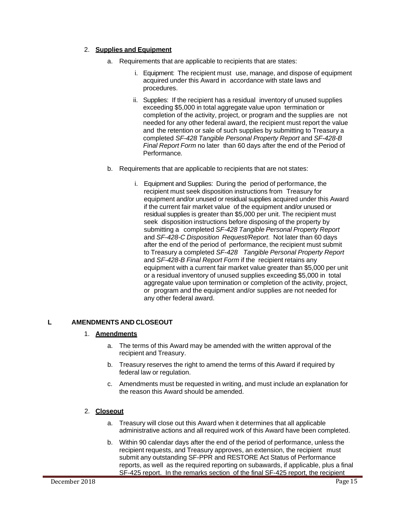#### 2. **Supplies and Equipment**

- a. Requirements that are applicable to recipients that are states:
	- i. Equipment: The recipient must use, manage, and dispose of equipment acquired under this Award in accordance with state laws and procedures.
	- ii. Supplies: If the recipient has a residual inventory of unused supplies exceeding \$5,000 in total aggregate value upon termination or completion of the activity, project, or program and the supplies are not needed for any other federal award, the recipient must report the value and the retention or sale of such supplies by submitting to Treasury a completed *SF-428 Tangible Personal Property Report* and *SF-428-B Final Report Form* no later than 60 days after the end of the Period of Performance*.*
- b. Requirements that are applicable to recipients that are not states:
	- i. Equipment and Supplies: During the period of performance, the recipient must seek disposition instructions from Treasury for equipment and/or unused or residual supplies acquired under this Award if the current fair market value of the equipment and/or unused or residual supplies is greater than \$5,000 per unit. The recipient must seek disposition instructions before disposing of the property by submitting a completed *SF-428 Tangible Personal Property Report* and *SF-428-C Disposition Request/Report*. Not later than 60 days after the end of the period of performance, the recipient must submit to Treasury a completed *SF-428 Tangible Personal Property Report* and *SF-428-B Final Report Form* if the recipient retains any equipment with a current fair market value greater than \$5,000 per unit or a residual inventory of unused supplies exceeding \$5,000 in total aggregate value upon termination or completion of the activity, project, or program and the equipment and/or supplies are not needed for any other federal award.

#### <span id="page-16-0"></span>**L AMENDMENTS AND CLOSEOUT**

#### 1. **Amendments**

- a. The terms of this Award may be amended with the written approval of the recipient and Treasury.
- b. Treasury reserves the right to amend the terms of this Award if required by federal law or regulation.
- c. Amendments must be requested in writing, and must include an explanation for the reason this Award should be amended.

#### 2. **Closeout**

- a. Treasury will close out this Award when it determines that all applicable administrative actions and all required work of this Award have been completed.
- b. Within 90 calendar days after the end of the period of performance, unless the recipient requests, and Treasury approves, an extension, the recipient must submit any outstanding SF-PPR and RESTORE Act Status of Performance reports, as well as the required reporting on subawards, if applicable, plus a final SF-425 report. In the remarks section of the final SF-425 report, the recipient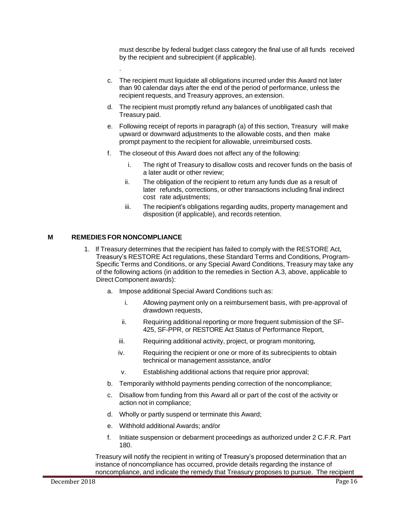must describe by federal budget class category the final use of all funds received by the recipient and subrecipient (if applicable).

- c. The recipient must liquidate all obligations incurred under this Award not later than 90 calendar days after the end of the period of performance, unless the recipient requests, and Treasury approves, an extension.
- d. The recipient must promptly refund any balances of unobligated cash that Treasury paid.
- e. Following receipt of reports in paragraph (a) of this section, Treasury will make upward or downward adjustments to the allowable costs, and then make prompt payment to the recipient for allowable, unreimbursed costs.
- f. The closeout of this Award does not affect any of the following:
	- i. The right of Treasury to disallow costs and recover funds on the basis of a later audit or other review;
	- ii. The obligation of the recipient to return any funds due as a result of later refunds, corrections, or other transactions including final indirect cost rate adjustments;
	- iii. The recipient's obligations regarding audits, property management and disposition (if applicable), and records retention.

#### <span id="page-17-0"></span>**M REMEDIES FOR NONCOMPLIANCE**

.

- 1. If Treasury determines that the recipient has failed to comply with the RESTORE Act, Treasury's RESTORE Act regulations, these Standard Terms and Conditions, Program-Specific Terms and Conditions, or any Special Award Conditions, Treasury may take any of the following actions (in addition to the remedies in Section A.3, above, applicable to Direct Component awards):
	- a. Impose additional Special Award Conditions such as:
		- i. Allowing payment only on a reimbursement basis, with pre-approval of drawdown requests,
		- ii. Requiring additional reporting or more frequent submission of the SF-425, SF-PPR, or RESTORE Act Status of Performance Report,
		- iii. Requiring additional activity, project, or program monitoring,
		- iv. Requiring the recipient or one or more of its subrecipients to obtain technical or management assistance, and/or
		- v. Establishing additional actions that require prior approval;
	- b. Temporarily withhold payments pending correction of the noncompliance;
	- c. Disallow from funding from this Award all or part of the cost of the activity or action not in compliance;
	- d. Wholly or partly suspend or terminate this Award;
	- e. Withhold additional Awards; and/or
	- f. Initiate suspension or debarment proceedings as authorized under 2 C.F.R. Part 180.

Treasury will notify the recipient in writing of Treasury's proposed determination that an instance of noncompliance has occurred, provide details regarding the instance of noncompliance, and indicate the remedy that Treasury proposes to pursue. The recipient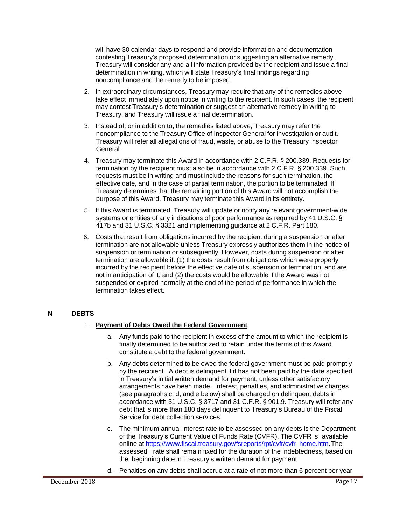will have 30 calendar days to respond and provide information and documentation contesting Treasury's proposed determination or suggesting an alternative remedy. Treasury will consider any and all information provided by the recipient and issue a final determination in writing, which will state Treasury's final findings regarding noncompliance and the remedy to be imposed.

- 2. In extraordinary circumstances, Treasury may require that any of the remedies above take effect immediately upon notice in writing to the recipient. In such cases, the recipient may contest Treasury's determination or suggest an alternative remedy in writing to Treasury, and Treasury will issue a final determination.
- 3. Instead of, or in addition to, the remedies listed above, Treasury may refer the noncompliance to the Treasury Office of Inspector General for investigation or audit. Treasury will refer all allegations of fraud, waste, or abuse to the Treasury Inspector General.
- 4. Treasury may terminate this Award in accordance with 2 C.F.R. § 200.339. Requests for termination by the recipient must also be in accordance with 2 C.F.R. § 200.339. Such requests must be in writing and must include the reasons for such termination, the effective date, and in the case of partial termination, the portion to be terminated. If Treasury determines that the remaining portion of this Award will not accomplish the purpose of this Award, Treasury may terminate this Award in its entirety.
- 5. If this Award is terminated, Treasury will update or notify any relevant government-wide systems or entities of any indications of poor performance as required by 41 U.S.C. § 417b and 31 U.S.C. § 3321 and implementing guidance at 2 C.F.R. Part 180.
- 6. Costs that result from obligations incurred by the recipient during a suspension or after termination are not allowable unless Treasury expressly authorizes them in the notice of suspension or termination or subsequently. However, costs during suspension or after termination are allowable if: (1) the costs result from obligations which were properly incurred by the recipient before the effective date of suspension or termination, and are not in anticipation of it; and (2) the costs would be allowable if the Award was not suspended or expired normally at the end of the period of performance in which the termination takes effect.

#### <span id="page-18-0"></span>**N DEBTS**

#### 1. **Payment of Debts Owed the Federal Government**

- a. Any funds paid to the recipient in excess of the amount to which the recipient is finally determined to be authorized to retain under the terms of this Award constitute a debt to the federal government.
- b. Any debts determined to be owed the federal government must be paid promptly by the recipient. A debt is delinquent if it has not been paid by the date specified in Treasury's initial written demand for payment, unless other satisfactory arrangements have been made. Interest, penalties, and administrative charges (see paragraphs c, d, and e below) shall be charged on delinquent debts in accordance with 31 U.S.C. § 3717 and 31 C.F.R. § 901.9. Treasury will refer any debt that is more than 180 days delinquent to Treasury's Bureau of the Fiscal Service for debt collection services.
- c. The minimum annual interest rate to be assessed on any debts is the Department of the Treasury's Current Value of Funds Rate (CVFR). The CVFR is available online at [https://www.fiscal.treasury.gov/fsreports/rpt/cvfr/cvfr\\_home.htm.T](https://www.fiscal.treasury.gov/fsreports/rpt/cvfr/cvfr_home.htm)he assessed rate shall remain fixed for the duration of the indebtedness, based on the beginning date in Treasury's written demand for payment.
- d. Penalties on any debts shall accrue at a rate of not more than 6 percent per year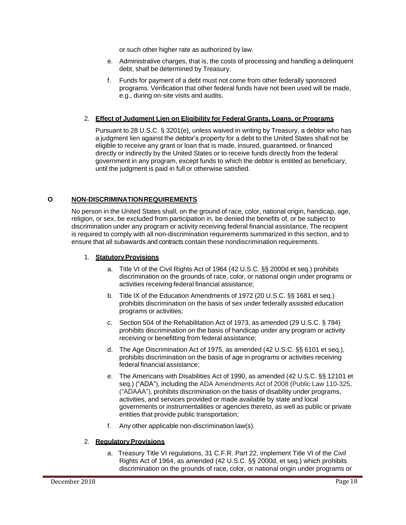or such other higher rate as authorized by law.

- e. Administrative charges, that is, the costs of processing and handling a delinquent debt, shall be determined by Treasury.
- f. Funds for payment of a debt must not come from other federally sponsored programs. Verification that other federal funds have not been used will be made, e.g., during on-site visits and audits.

#### 2. **Effect of Judgment Lien on Eligibility for Federal Grants, Loans, or Programs**

<span id="page-19-0"></span>Pursuant to 28 U.S.C. § 3201(e), unless waived in writing by Treasury, a debtor who has a judgment lien against the debtor's property for a debt to the United States shall not be eligible to receive any grant or loan that is made, insured, guaranteed, or financed directly or indirectly by the United States or to receive funds directly from the federal government in any program, except funds to which the debtor is entitled as beneficiary, until the judgment is paid in full or otherwise satisfied.

#### **O NON-DISCRIMINATIONREQUIREMENTS**

No person in the United States shall, on the ground of race, color, national origin, handicap, age, religion, or sex, be excluded from participation in, be denied the benefits of, or be subject to discrimination under any program or activity receiving federal financial assistance. The recipient is required to comply with all non-discrimination requirements summarized in this section, and to ensure that all subawards and contracts contain these nondiscrimination requirements.

#### 1. **StatutoryProvisions**

- a. Title VI of the Civil Rights Act of 1964 (42 U.S.C. §§ 2000d et seq.) prohibits discrimination on the grounds of race, color, or national origin under programs or activities receiving federal financial assistance;
- b. Title IX of the Education Amendments of 1972 (20 U.S.C. §§ 1681 et seq.) prohibits discrimination on the basis of sex under federally assisted education programs or activities;
- c. Section 504 of the Rehabilitation Act of 1973, as amended (29 U.S.C. § 794) prohibits discrimination on the basis of handicap under any program or activity receiving or benefitting from federal assistance;
- d. The Age Discrimination Act of 1975, as amended (42 U.S.C. §§ 6101 et seq.), prohibits discrimination on the basis of age in programs or activities receiving federal financial assistance;
- e. The Americans with Disabilities Act of 1990, as amended (42 U.S.C. §§ 12101 et seq.) ("ADA"), including the ADA Amendments Act of 2008 (Public Law 110-325, ("ADAAA"), prohibits discrimination on the basis of disability under programs, activities, and services provided or made available by state and local governments or instrumentalities or agencies thereto, as well as public or private entities that provide public transportation;
- f. Any other applicable non-discrimination law(s).

#### 2. **RegulatoryProvisions**

a. Treasury Title VI regulations, 31 C.F.R. Part 22, implement Title VI of the Civil Rights Act of 1964, as amended (42 U.S.C. §§ 2000d, et seq.) which prohibits discrimination on the grounds of race, color, or national origin under programs or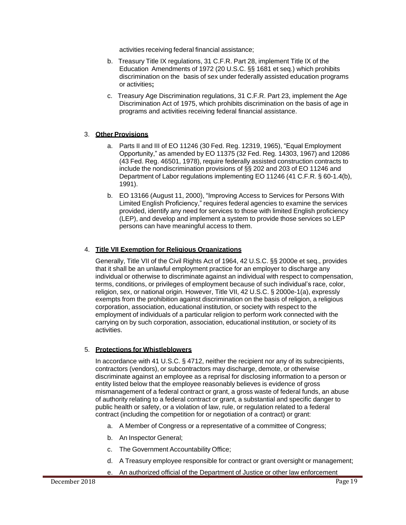activities receiving federal financial assistance;

- b. Treasury Title IX regulations, 31 C.F.R. Part 28, implement Title IX of the Education Amendments of 1972 (20 U.S.C. §§ 1681 et seq.) which prohibits discrimination on the basis of sex under federally assisted education programs or activities**;**
- c. Treasury Age Discrimination regulations, 31 C.F.R. Part 23, implement the Age Discrimination Act of 1975, which prohibits discrimination on the basis of age in programs and activities receiving federal financial assistance.

#### 3. **Other Provisions**

- a. Parts II and III of EO 11246 (30 Fed. Reg. 12319, 1965), "Equal Employment Opportunity," as amended by EO 11375 (32 Fed. Reg. 14303, 1967) and 12086 (43 Fed. Reg. 46501, 1978), require federally assisted construction contracts to include the nondiscrimination provisions of §§ 202 and 203 of EO 11246 and Department of Labor regulations implementing EO 11246 (41 C.F.R. § 60-1.4(b), 1991).
- b. EO 13166 (August 11, 2000), "Improving Access to Services for Persons With Limited English Proficiency," requires federal agencies to examine the services provided, identify any need for services to those with limited English proficiency (LEP), and develop and implement a system to provide those services so LEP persons can have meaningful access to them.

#### 4. **Title VII Exemption for Religious Organizations**

Generally, Title VII of the Civil Rights Act of 1964, 42 U.S.C. §§ 2000e et seq., provides that it shall be an unlawful employment practice for an employer to discharge any individual or otherwise to discriminate against an individual with respect to compensation, terms, conditions, or privileges of employment because of such individual's race, color, religion, sex, or national origin. However, Title VII, 42 U.S.C. § 2000e-1(a), expressly exempts from the prohibition against discrimination on the basis of religion, a religious corporation, association, educational institution, or society with respect to the employment of individuals of a particular religion to perform work connected with the carrying on by such corporation, association, educational institution, or society of its activities.

#### 5. **Protections for Whistleblowers**

In accordance with 41 U.S.C. § 4712, neither the recipient nor any of its subrecipients, contractors (vendors), or subcontractors may discharge, demote, or otherwise discriminate against an employee as a reprisal for disclosing information to a person or entity listed below that the employee reasonably believes is evidence of gross mismanagement of a federal contract or grant, a gross waste of federal funds, an abuse of authority relating to a federal contract or grant, a substantial and specific danger to public health or safety, or a violation of law, rule, or regulation related to a federal contract (including the competition for or negotiation of a contract) or grant:

- a. A Member of Congress or a representative of a committee of Congress;
- b. An Inspector General;
- c. The Government Accountability Office;
- d. A Treasury employee responsible for contract or grant oversight or management;
- e. An authorized official of the Department of Justice or other law enforcement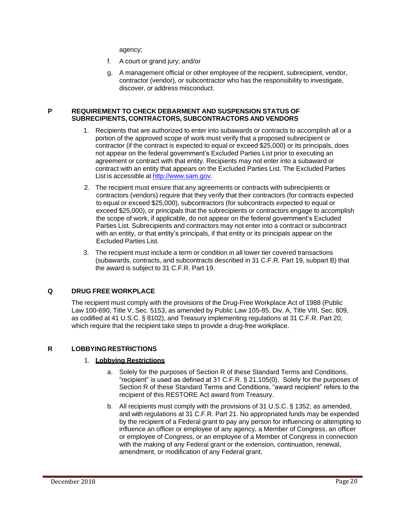agency;

- f. A court or grand jury; and/or
- g. A management official or other employee of the recipient, subrecipient, vendor, contractor (vendor), or subcontractor who has the responsibility to investigate, discover, or address misconduct.

#### <span id="page-21-0"></span>**P REQUIREMENT TO CHECK DEBARMENT AND SUSPENSION STATUS OF SUBRECIPIENTS, CONTRACTORS, SUBCONTRACTORS AND VENDORS**

- 1. Recipients that are authorized to enter into subawards or contracts to accomplish all or a portion of the approved scope of work must verify that a proposed subrecipient or contractor (if the contract is expected to equal or exceed \$25,000) or its principals, does not appear on the federal government's Excluded Parties List prior to executing an agreement or contract with that entity. Recipients may not enter into a subaward or contract with an entity that appears on the Excluded Parties List. The Excluded Parties List is accessible at [http://www.sam.gov.](http://www.sam.gov/)
- 2. The recipient must ensure that any agreements or contracts with subrecipients or contractors (vendors) require that they verify that their contractors (for contracts expected to equal or exceed \$25,000), subcontractors (for subcontracts expected to equal or exceed \$25,000), or principals that the subrecipients or contractors engage to accomplish the scope of work, if applicable, do not appear on the federal government's Excluded Parties List. Subrecipients and contractors may not enter into a contract or subcontract with an entity, or that entity's principals, if that entity or its principals appear on the Excluded Parties List.
- 3. The recipient must include a term or condition in all lower tier covered transactions (subawards, contracts, and subcontracts described in 31 C.F.R. Part 19, subpart B) that the award is subject to 31 C.F.R. Part 19.

#### <span id="page-21-1"></span>**Q DRUG FREE WORKPLACE**

The recipient must comply with the provisions of the Drug-Free Workplace Act of 1988 (Public Law 100-690, Title V, Sec. 5153, as amended by Public Law 105-85, Div. A, Title VIII, Sec. 809, as codified at 41 U.S.C. § 8102), and Treasury implementing regulations at 31 C.F.R. Part 20, which require that the recipient take steps to provide a drug-free workplace.

#### <span id="page-21-2"></span>**R LOBBYINGRESTRICTIONS**

#### 1. **Lobbying Restrictions**

- a. Solely for the purposes of Section R of these Standard Terms and Conditions, "recipient" is used as defined at 31 C.F.R. § 21.105(0). Solely for the purposes of Section R of these Standard Terms and Conditions, "award recipient" refers to the recipient of this RESTORE Act award from Treasury.
- b. All recipients must comply with the provisions of 31 U.S.C. § 1352, as amended, and with regulations at 31 C.F.R. Part 21. No appropriated funds may be expended by the recipient of a Federal grant to pay any person for influencing or attempting to influence an officer or employee of any agency, a Member of Congress, an officer or employee of Congress, or an employee of a Member of Congress in connection with the making of any Federal grant or the extension, continuation, renewal, amendment, or modification of any Federal grant.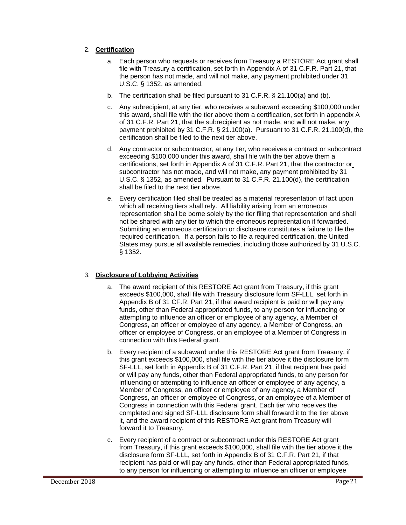#### 2. **Certification**

- a. Each person who requests or receives from Treasury a RESTORE Act grant shall file with Treasury a certification, set forth in Appendix A of 31 C.F.R. Part 21, that the person has not made, and will not make, any payment prohibited under 31 U.S.C. § 1352, as amended.
- b. The certification shall be filed pursuant to 31 C.F.R. § 21.100(a) and (b).
- c. Any subrecipient, at any tier, who receives a subaward exceeding \$100,000 under this award, shall file with the tier above them a certification, set forth in appendix A of 31 C.F.R. Part 21, that the subrecipient as not made, and will not make, any payment prohibited by 31 C.F.R. § 21.100(a). Pursuant to 31 C.F.R. 21.100(d), the certification shall be filed to the next tier above.
- d. Any contractor or subcontractor, at any tier, who receives a contract or subcontract exceeding \$100,000 under this award, shall file with the tier above them a certifications, set forth in Appendix A of 31 C.F.R. Part 21, that the contractor or subcontractor has not made, and will not make, any payment prohibited by 31 U.S.C. § 1352, as amended. Pursuant to 31 C.F.R. 21.100(d), the certification shall be filed to the next tier above.
- e. Every certification filed shall be treated as a material representation of fact upon which all receiving tiers shall rely. All liability arising from an erroneous representation shall be borne solely by the tier filing that representation and shall not be shared with any tier to which the erroneous representation if forwarded. Submitting an erroneous certification or disclosure constitutes a failure to file the required certification. If a person fails to file a required certification, the United States may pursue all available remedies, including those authorized by 31 U.S.C. § 1352.

#### 3. **Disclosure of Lobbying Activities**

- a. The award recipient of this RESTORE Act grant from Treasury, if this grant exceeds \$100,000, shall file with Treasury disclosure form SF-LLL, set forth in Appendix B of 31 CF.R. Part 21, if that award recipient is paid or will pay any funds, other than Federal appropriated funds, to any person for influencing or attempting to influence an officer or employee of any agency, a Member of Congress, an officer or employee of any agency, a Member of Congress, an officer or employee of Congress, or an employee of a Member of Congress in connection with this Federal grant.
- b. Every recipient of a subaward under this RESTORE Act grant from Treasury, if this grant exceeds \$100,000, shall file with the tier above it the disclosure form SF-LLL, set forth in Appendix B of 31 C.F.R. Part 21, if that recipient has paid or will pay any funds, other than Federal appropriated funds, to any person for influencing or attempting to influence an officer or employee of any agency, a Member of Congress, an officer or employee of any agency, a Member of Congress, an officer or employee of Congress, or an employee of a Member of Congress in connection with this Federal grant. Each tier who receives the completed and signed SF-LLL disclosure form shall forward it to the tier above it, and the award recipient of this RESTORE Act grant from Treasury will forward it to Treasury.
- c. Every recipient of a contract or subcontract under this RESTORE Act grant from Treasury, if this grant exceeds \$100,000, shall file with the tier above it the disclosure form SF-LLL, set forth in Appendix B of 31 C.F.R. Part 21, if that recipient has paid or will pay any funds, other than Federal appropriated funds, to any person for influencing or attempting to influence an officer or employee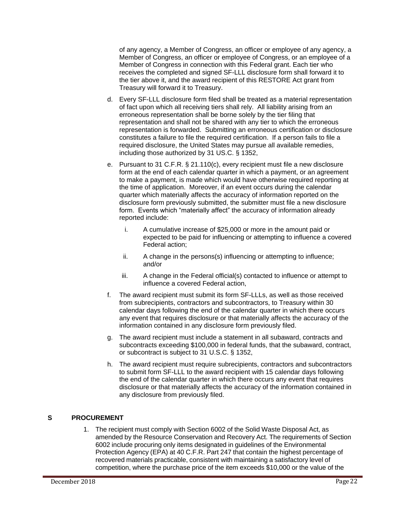of any agency, a Member of Congress, an officer or employee of any agency, a Member of Congress, an officer or employee of Congress, or an employee of a Member of Congress in connection with this Federal grant. Each tier who receives the completed and signed SF-LLL disclosure form shall forward it to the tier above it, and the award recipient of this RESTORE Act grant from Treasury will forward it to Treasury.

- d. Every SF-LLL disclosure form filed shall be treated as a material representation of fact upon which all receiving tiers shall rely. All liability arising from an erroneous representation shall be borne solely by the tier filing that representation and shall not be shared with any tier to which the erroneous representation is forwarded. Submitting an erroneous certification or disclosure constitutes a failure to file the required certification. If a person fails to file a required disclosure, the United States may pursue all available remedies, including those authorized by 31 US.C. § 1352,
- e. Pursuant to 31 C.F.R. § 21.110(c), every recipient must file a new disclosure form at the end of each calendar quarter in which a payment, or an agreement to make a payment, is made which would have otherwise required reporting at the time of application. Moreover, if an event occurs during the calendar quarter which materially affects the accuracy of information reported on the disclosure form previously submitted, the submitter must file a new disclosure form. Events which "materially affect" the accuracy of information already reported include:
	- i. A cumulative increase of \$25,000 or more in the amount paid or expected to be paid for influencing or attempting to influence a covered Federal action;
	- ii. A change in the persons(s) influencing or attempting to influence; and/or
	- iii. A change in the Federal official(s) contacted to influence or attempt to influence a covered Federal action,
- f. The award recipient must submit its form SF-LLLs, as well as those received from subrecipients, contractors and subcontractors, to Treasury within 30 calendar days following the end of the calendar quarter in which there occurs any event that requires disclosure or that materially affects the accuracy of the information contained in any disclosure form previously filed.
- g. The award recipient must include a statement in all subaward, contracts and subcontracts exceeding \$100,000 in federal funds, that the subaward, contract, or subcontract is subject to 31 U.S.C. § 1352,
- h. The award recipient must require subrecipients, contractors and subcontractors to submit form SF-LLL to the award recipient with 15 calendar days following the end of the calendar quarter in which there occurs any event that requires disclosure or that materially affects the accuracy of the information contained in any disclosure from previously filed.

#### <span id="page-23-0"></span>**S PROCUREMENT**

1. The recipient must comply with Section 6002 of the Solid Waste Disposal Act, as amended by the Resource Conservation and Recovery Act. The requirements of Section 6002 include procuring only items designated in guidelines of the Environmental Protection Agency (EPA) at 40 C.F.R. Part 247 that contain the highest percentage of recovered materials practicable, consistent with maintaining a satisfactory level of competition, where the purchase price of the item exceeds \$10,000 or the value of the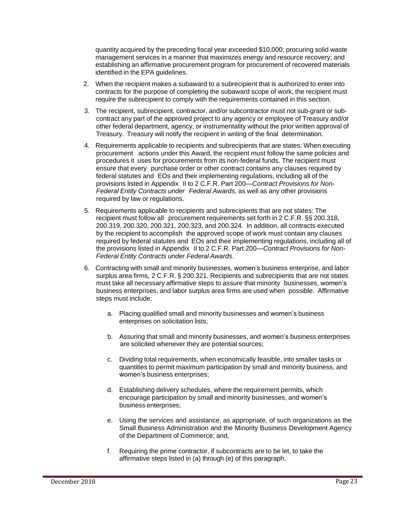quantity acquired by the preceding fiscal year exceeded \$10,000; procuring solid waste management services in a manner that maximizes energy and resource recovery; and establishing an affirmative procurement program for procurement of recovered materials identified in the EPA guidelines.

- 2. When the recipient makes a subaward to a subrecipient that is authorized to enter into contracts for the purpose of completing the subaward scope of work, the recipient must require the subrecipient to comply with the requirements contained in this section.
- 3. The recipient, subrecipient, contractor, and/or subcontractor must not sub-grant or subcontract any part of the approved project to any agency or employee of Treasury and/or other federal department, agency, or instrumentality without the prior written approval of Treasury. Treasury will notify the recipient in writing of the final determination.
- 4. Requirements applicable to recipients and subrecipients that are states: When executing procurement actions under this Award, the recipient must follow the same policies and procedures it uses for procurements from its non-federal funds. The recipient must ensure that every purchase order or other contract contains any clauses required by federal statutes and EOs and their implementing regulations, including all of the provisions listed in Appendix II to 2 C.F.R. Part 200—*Contract Provisions for Non-Federal Entity Contracts under Federal Awards,* as well as any other provisions required by law or regulations.
- 5. Requirements applicable to recipients and subrecipients that are not states: The recipient must follow all procurement requirements set forth in 2 C.F.R. §§ 200.318, 200.319, 200.320, 200.321, 200.323, and 200.324. In addition, all contracts executed by the recipient to accomplish the approved scope of work must contain any clauses required by federal statutes and EOs and their implementing regulations, including all of the provisions listed in Appendix II to 2 C.F.R. Part 200—*Contract Provisions for Non-Federal Entity Contracts under Federal Awards*.
- 6. Contracting with small and minority businesses, women's business enterprise, and labor surplus area firms, 2 C.F.R. § 200.321. Recipients and subrecipients that are not states must take all necessary affirmative steps to assure that minority businesses, women's business enterprises, and labor surplus area firms are used when possible. Affirmative steps must include:
	- a. Placing qualified small and minority businesses and women's business enterprises on solicitation lists;
	- b. Assuring that small and minority businesses, and women's business enterprises are solicited whenever they are potential sources;
	- c. Dividing total requirements, when economically feasible, into smaller tasks or quantities to permit maximum participation by small and minority business, and women's business enterprises;
	- d. Establishing delivery schedules, where the requirement permits, which encourage participation by small and minority businesses, and women's business enterprises;
	- e. Using the services and assistance, as appropriate, of such organizations as the Small Business Administration and the Minority Business Development Agency of the Department of Commerce; and,
	- f. Requiring the prime contractor, if subcontracts are to be let, to take the affirmative steps listed in (a) through (e) of this paragraph.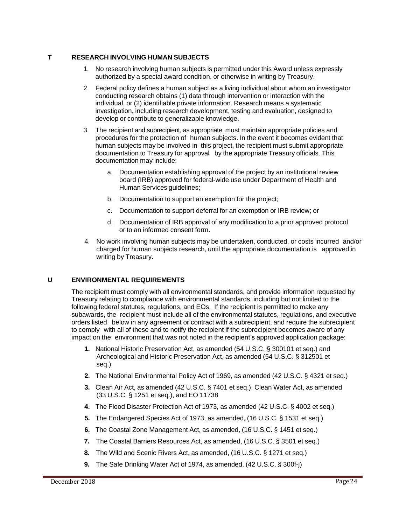#### <span id="page-25-0"></span>**T RESEARCH INVOLVING HUMAN SUBJECTS**

- 1. No research involving human subjects is permitted under this Award unless expressly authorized by a special award condition, or otherwise in writing by Treasury.
- 2. Federal policy defines a human subject as a living individual about whom an investigator conducting research obtains (1) data through intervention or interaction with the individual, or (2) identifiable private information. Research means a systematic investigation, including research development, testing and evaluation, designed to develop or contribute to generalizable knowledge.
- 3. The recipient and subrecipient, as appropriate, must maintain appropriate policies and procedures for the protection of human subjects. In the event it becomes evident that human subjects may be involved in this project, the recipient must submit appropriate documentation to Treasury for approval by the appropriate Treasury officials. This documentation may include:
	- a. Documentation establishing approval of the project by an institutional review board (IRB) approved for federal-wide use under Department of Health and Human Services guidelines;
	- b. Documentation to support an exemption for the project;
	- c. Documentation to support deferral for an exemption or IRB review; or
	- d. Documentation of IRB approval of any modification to a prior approved protocol or to an informed consent form.
- 4. No work involving human subjects may be undertaken, conducted, or costs incurred and/or charged for human subjects research, until the appropriate documentation is approved in writing by Treasury.

#### <span id="page-25-1"></span>**U ENVIRONMENTAL REQUIREMENTS**

The recipient must comply with all environmental standards, and provide information requested by Treasury relating to compliance with environmental standards, including but not limited to the following federal statutes, regulations, and EOs. If the recipient is permitted to make any subawards, the recipient must include all of the environmental statutes, regulations, and executive orders listed below in any agreement or contract with a subrecipient, and require the subrecipient to comply with all of these and to notify the recipient if the subrecipient becomes aware of any impact on the environment that was not noted in the recipient's approved application package:

- **1.** National Historic Preservation Act, as amended (54 U.S.C. § 300101 et seq.) and Archeological and Historic Preservation Act, as amended (54 U.S.C. § 312501 et seq.)
- **2.** The National Environmental Policy Act of 1969, as amended (42 U.S.C. § 4321 et seq.)
- **3.** Clean Air Act, as amended (42 U.S.C. § 7401 et seq.), Clean Water Act, as amended (33 U.S.C. § 1251 et seq.), and EO 11738
- **4.** The Flood Disaster Protection Act of 1973, as amended (42 U.S.C. § 4002 et seq.)
- **5.** The Endangered Species Act of 1973, as amended, (16 U.S.C. § 1531 et seq.)
- **6.** The Coastal Zone Management Act, as amended, (16 U.S.C. § 1451 et seq.)
- **7.** The Coastal Barriers Resources Act, as amended, (16 U.S.C. § 3501 et seq.)
- **8.** The Wild and Scenic Rivers Act, as amended, (16 U.S.C. § 1271 et seq.)
- **9.** The Safe Drinking Water Act of 1974, as amended, (42 U.S.C. § 300f-j)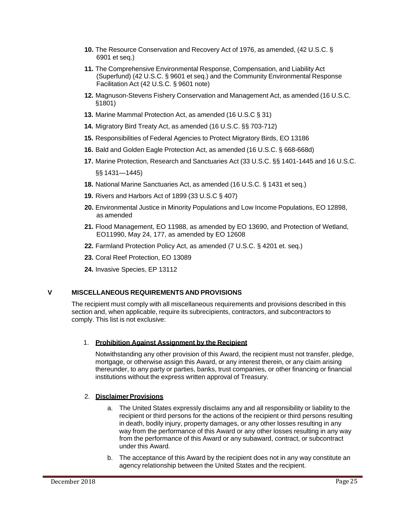- **10.** The Resource Conservation and Recovery Act of 1976, as amended, (42 U.S.C. § 6901 et seq.)
- **11.** The Comprehensive Environmental Response, Compensation, and Liability Act (Superfund) (42 U.S.C. § 9601 et seq.) and the Community Environmental Response Facilitation Act (42 U.S.C. § 9601 note)
- **12.** Magnuson-Stevens Fishery Conservation and Management Act, as amended (16 U.S.C. §1801)
- **13.** Marine Mammal Protection Act, as amended (16 U.S.C § 31)
- **14.** Migratory Bird Treaty Act, as amended (16 U.S.C. §§ 703-712)
- **15.** Responsibilities of Federal Agencies to Protect Migratory Birds, EO 13186
- **16.** Bald and Golden Eagle Protection Act, as amended (16 U.S.C. § 668-668d)
- **17.** Marine Protection, Research and Sanctuaries Act (33 U.S.C. §§ 1401-1445 and 16 U.S.C. §§ 1431—1445)
- **18.** National Marine Sanctuaries Act, as amended (16 U.S.C. § 1431 et seq.)
- **19.** Rivers and Harbors Act of 1899 (33 U.S.C § 407)
- **20.** Environmental Justice in Minority Populations and Low Income Populations, EO 12898, as amended
- **21.** Flood Management, EO 11988, as amended by EO 13690, and Protection of Wetland, EO11990, May 24, 177, as amended by EO 12608
- **22.** Farmland Protection Policy Act, as amended (7 U.S.C. § 4201 et. seq.)
- **23.** Coral Reef Protection, EO 13089
- **24.** Invasive Species, EP 13112

#### <span id="page-26-0"></span>**V MISCELLANEOUS REQUIREMENTS AND PROVISIONS**

The recipient must comply with all miscellaneous requirements and provisions described in this section and, when applicable, require its subrecipients, contractors, and subcontractors to comply. This list is not exclusive:

#### 1. **Prohibition Against Assignment by the Recipient**

Notwithstanding any other provision of this Award, the recipient must not transfer, pledge, mortgage, or otherwise assign this Award, or any interest therein, or any claim arising thereunder, to any party or parties, banks, trust companies, or other financing or financial institutions without the express written approval of Treasury.

#### 2. **Disclaimer Provisions**

- a. The United States expressly disclaims any and all responsibility or liability to the recipient or third persons for the actions of the recipient or third persons resulting in death, bodily injury, property damages, or any other losses resulting in any way from the performance of this Award or any other losses resulting in any way from the performance of this Award or any subaward, contract, or subcontract under this Award.
- b. The acceptance of this Award by the recipient does not in any way constitute an agency relationship between the United States and the recipient.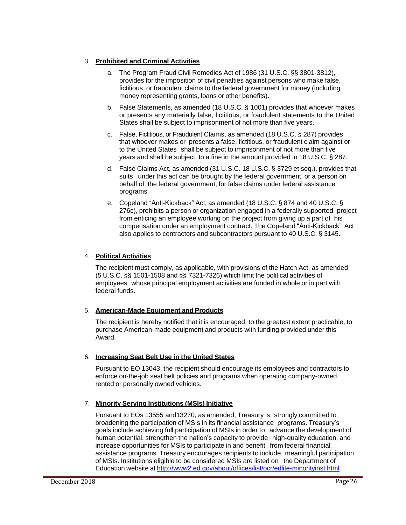#### 3. **Prohibited and Criminal Activities**

- a. The Program Fraud Civil Remedies Act of 1986 (31 U.S.C. §§ 3801-3812), provides for the imposition of civil penalties against persons who make false, fictitious, or fraudulent claims to the federal government for money (including money representing grants, loans or other benefits).
- b. False Statements, as amended (18 U.S.C. § 1001) provides that whoever makes or presents any materially false, fictitious, or fraudulent statements to the United States shall be subject to imprisonment of not more than five years.
- c. False, Fictitious, or Fraudulent Claims, as amended (18 U.S.C. § 287) provides that whoever makes or presents a false, fictitious, or fraudulent claim against or to the United States shall be subject to imprisonment of not more than five years and shall be subject to a fine in the amount provided in 18 U.S.C. § 287.
- d. False Claims Act, as amended (31 U.S.C. 18 U.S.C. § 3729 et seq.), provides that suits under this act can be brought by the federal government, or a person on behalf of the federal government, for false claims under federal assistance programs
- e. Copeland "Anti-Kickback" Act, as amended (18 U.S.C. § 874 and 40 U.S.C. § 276c), prohibits a person or organization engaged in a federally supported project from enticing an employee working on the project from giving up a part of his compensation under an employment contract. The Copeland "Anti-Kickback" Act also applies to contractors and subcontractors pursuant to 40 U.S.C. § 3145.

#### 4. **Political Activities**

The recipient must comply, as applicable, with provisions of the Hatch Act, as amended (5 U.S.C. §§ 1501-1508 and §§ 7321-7326) which limit the political activities of employees whose principal employment activities are funded in whole or in part with federal funds.

#### 5. **American-Made Equipment and Products**

The recipient is hereby notified that it is encouraged, to the greatest extent practicable, to purchase American-made equipment and products with funding provided under this Award.

#### 6. **Increasing Seat Belt Use in the United States**

Pursuant to EO 13043, the recipient should encourage its employees and contractors to enforce on-the-job seat belt policies and programs when operating company-owned, rented or personally owned vehicles.

#### 7. **Minority Serving Institutions (MSIs) Initiative**

Pursuant to EOs 13555 and13270, as amended, Treasury is strongly committed to broadening the participation of MSIs in its financial assistance programs. Treasury's goals include achieving full participation of MSIs in order to advance the development of human potential, strengthen the nation's capacity to provide high-quality education, and increase opportunities for MSIs to participate in and benefit from federal financial assistance programs. Treasury encourages recipients to include meaningful participation of MSIs. Institutions eligible to be considered MSIs are listed on the Department of Education website at [http://www2.ed.gov/about/offices/list/ocr/edlite-minorityinst.html.](http://www2.ed.gov/about/offices/list/ocr/edlite-minorityinst.html)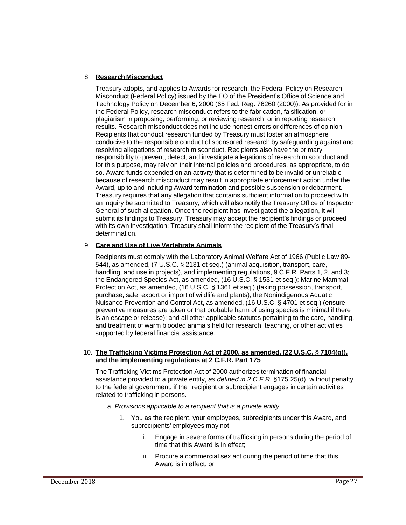#### 8. **Research Misconduct**

Treasury adopts, and applies to Awards for research, the Federal Policy on Research Misconduct (Federal Policy) issued by the EO of the President's Office of Science and Technology Policy on December 6, 2000 (65 Fed. Reg. 76260 (2000)). As provided for in the Federal Policy, research misconduct refers to the fabrication, falsification, or plagiarism in proposing, performing, or reviewing research, or in reporting research results. Research misconduct does not include honest errors or differences of opinion. Recipients that conduct research funded by Treasury must foster an atmosphere conducive to the responsible conduct of sponsored research by safeguarding against and resolving allegations of research misconduct. Recipients also have the primary responsibility to prevent, detect, and investigate allegations of research misconduct and, for this purpose, may rely on their internal policies and procedures, as appropriate, to do so. Award funds expended on an activity that is determined to be invalid or unreliable because of research misconduct may result in appropriate enforcement action under the Award, up to and including Award termination and possible suspension or debarment. Treasury requires that any allegation that contains sufficient information to proceed with an inquiry be submitted to Treasury, which will also notify the Treasury Office of Inspector General of such allegation. Once the recipient has investigated the allegation, it will submit its findings to Treasury. Treasury may accept the recipient's findings or proceed with its own investigation; Treasury shall inform the recipient of the Treasury's final determination.

#### 9. **Care and Use of Live Vertebrate Animals**

Recipients must comply with the Laboratory Animal Welfare Act of 1966 (Public Law 89- 544), as amended, (7 U.S.C. § 2131 et seq.) (animal acquisition, transport, care, handling, and use in projects), and implementing regulations, 9 C.F.R. Parts 1, 2, and 3; the Endangered Species Act, as amended, (16 U.S.C. § 1531 et seq.); Marine Mammal Protection Act, as amended, (16 U.S.C. § 1361 et seq.) (taking possession, transport, purchase, sale, export or import of wildlife and plants); the Nonindigenous Aquatic Nuisance Prevention and Control Act, as amended, (16 U.S.C. § 4701 et seq.) (ensure preventive measures are taken or that probable harm of using species is minimal if there is an escape or release); and all other applicable statutes pertaining to the care, handling, and treatment of warm blooded animals held for research, teaching, or other activities supported by federal financial assistance.

#### 10. **The Trafficking Victims Protection Act of 2000, as amended, (22 U.S.C. § 7104(g)), and the implementing regulations at 2 C.F.R. Part 175**

The Trafficking Victims Protection Act of 2000 authorizes termination of financial assistance provided to a private entity, *as defined in 2 C.F.R.* §175.25(d), without penalty to the federal government, if the recipient or subrecipient engages in certain activities related to trafficking in persons.

- a. *Provisions applicable to a recipient that is a private entity*
	- 1. You as the recipient, your employees, subrecipients under this Award, and subrecipients' employees may not
		- i. Engage in severe forms of trafficking in persons during the period of time that this Award is in effect;
		- ii. Procure a commercial sex act during the period of time that this Award is in effect; or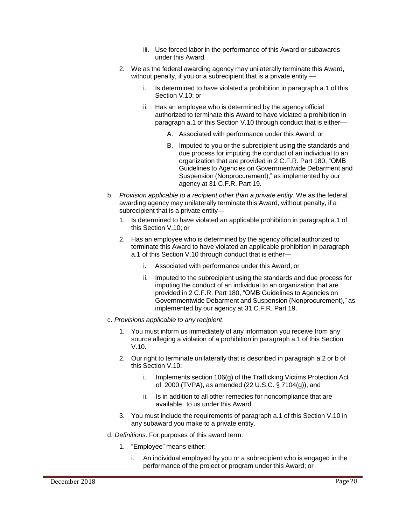- iii. Use forced labor in the performance of this Award or subawards under this Award.
- 2. We as the federal awarding agency may unilaterally terminate this Award, without penalty, if you or a subrecipient that is a private entity
	- i. Is determined to have violated a prohibition in paragraph a.1 of this Section V.10; or
	- ii. Has an employee who is determined by the agency official authorized to terminate this Award to have violated a prohibition in paragraph a.1 of this Section V.10 through conduct that is either—
		- A. Associated with performance under this Award; or
		- B. Imputed to you or the subrecipient using the standards and due process for imputing the conduct of an individual to an organization that are provided in 2 C.F.R. Part 180, "OMB Guidelines to Agencies on Governmentwide Debarment and Suspension (Nonprocurement)," as implemented by our agency at 31 C.F.R. Part 19.
- b. *Provision applicable to a recipient other than a private entity*. We as the federal awarding agency may unilaterally terminate this Award, without penalty, if a subrecipient that is a private entity—
	- 1. Is determined to have violated an applicable prohibition in paragraph a.1 of this Section V.10; or
	- 2. Has an employee who is determined by the agency official authorized to terminate this Award to have violated an applicable prohibition in paragraph a.1 of this Section V.10 through conduct that is either
		- i. Associated with performance under this Award; or
		- ii. Imputed to the subrecipient using the standards and due process for imputing the conduct of an individual to an organization that are provided in 2 C.F.R. Part 180, "OMB Guidelines to Agencies on Governmentwide Debarment and Suspension (Nonprocurement)," as implemented by our agency at 31 C.F.R. Part 19.
- c. *Provisions applicable to any recipient*.
	- 1. You must inform us immediately of any information you receive from any source alleging a violation of a prohibition in paragraph a.1 of this Section V.10.
	- 2. Our right to terminate unilaterally that is described in paragraph a.2 or b of this Section V.10:
		- i. Implements section 106(g) of the Trafficking Victims Protection Act of 2000 (TVPA), as amended (22 U.S.C. § 7104(g)), and
		- ii. Is in addition to all other remedies for noncompliance that are available to us under this Award.
	- 3. You must include the requirements of paragraph a.1 of this Section V.10 in any subaward you make to a private entity.
- d. *Definitions*. For purposes of this award term:
	- 1. "Employee" means either:
		- i. An individual employed by you or a subrecipient who is engaged in the performance of the project or program under this Award; or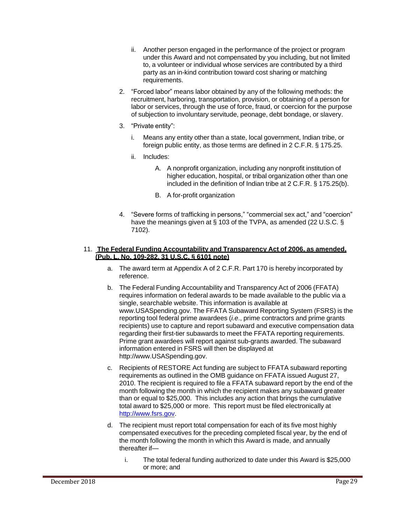- ii. Another person engaged in the performance of the project or program under this Award and not compensated by you including, but not limited to, a volunteer or individual whose services are contributed by a third party as an in-kind contribution toward cost sharing or matching requirements.
- 2. "Forced labor" means labor obtained by any of the following methods: the recruitment, harboring, transportation, provision, or obtaining of a person for labor or services, through the use of force, fraud, or coercion for the purpose of subjection to involuntary servitude, peonage, debt bondage, or slavery.
- 3. "Private entity":
	- i. Means any entity other than a state, local government, Indian tribe, or foreign public entity, as those terms are defined in 2 C.F.R. § 175.25.
	- ii. Includes:
		- A. A nonprofit organization, including any nonprofit institution of higher education, hospital, or tribal organization other than one included in the definition of Indian tribe at 2 C.F.R. § 175.25(b).
		- B. A for-profit organization
- 4. "Severe forms of trafficking in persons," "commercial sex act," and "coercion" have the meanings given at § 103 of the TVPA, as amended (22 U.S.C. § 7102).

#### 11. **The Federal Funding Accountability and Transparency Act of 2006, as amended, (Pub. L. No. 109-282, 31 U.S.C. § 6101 note)**

- a. The award term at Appendix A of 2 C.F.R. Part 170 is hereby incorporated by reference.
- b. The Federal Funding Accountability and Transparency Act of 2006 (FFATA) requires information on federal awards to be made available to the public via a single, searchable website. This information is available at [www.USASpending.gov.](http://www.usaspending.gov/) The FFATA Subaward Reporting System (FSRS) is the reporting tool federal prime awardees (*i.e*., prime contractors and prime grants recipients) use to capture and report subaward and executive compensation data regarding their first-tier subawards to meet the FFATA reporting requirements. Prime grant awardees will report against sub-grants awarded. The subaward information entered in FSRS will then be displayed at http:/[/www.USASpending.gov.](http://www.usaspending.gov/)
- c. Recipients of RESTORE Act funding are subject to FFATA subaward reporting requirements as outlined in the OMB guidance on FFATA issued August 27, 2010. The recipient is required to file a FFATA subaward report by the end of the month following the month in which the recipient makes any subaward greater than or equal to \$25,000. This includes any action that brings the cumulative total award to \$25,000 or more. This report must be filed electronically at [http://www.fsrs.gov.](http://www.fsrs.gov/)
- d. The recipient must report total compensation for each of its five most highly compensated executives for the preceding completed fiscal year, by the end of the month following the month in which this Award is made, and annually thereafter if
	- i. The total federal funding authorized to date under this Award is \$25,000 or more; and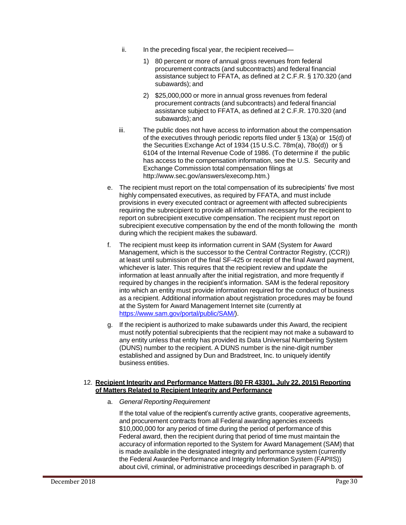- ii. In the preceding fiscal year, the recipient received—
	- 1) 80 percent or more of annual gross revenues from federal procurement contracts (and subcontracts) and federal financial assistance subject to FFATA, as defined at 2 C.F.R. § 170.320 (and subawards); and
	- 2) \$25,000,000 or more in annual gross revenues from federal procurement contracts (and subcontracts) and federal financial assistance subject to FFATA, as defined at 2 C.F.R. 170.320 (and subawards); and
- iii. The public does not have access to information about the compensation of the executives through periodic reports filed under § 13(a) or 15(d) of the Securities Exchange Act of 1934 (15 U.S.C. 78m(a), 78o(d)) or § 6104 of the Internal Revenue Code of 1986. (To determine if the public has access to the compensation information, see the U.S. Security and Exchange Commission total compensation filings at [http://www.sec.gov/answers/execomp.htm.\)](http://www.sec.gov/answers/execomp.htm.))
- e. The recipient must report on the total compensation of its subrecipients' five most highly compensated executives, as required by FFATA, and must include provisions in every executed contract or agreement with affected subrecipients requiring the subrecipient to provide all information necessary for the recipient to report on subrecipient executive compensation. The recipient must report on subrecipient executive compensation by the end of the month following the month during which the recipient makes the subaward.
- f. The recipient must keep its information current in SAM (System for Award Management, which is the successor to the Central Contractor Registry, (CCR)) at least until submission of the final SF-425 or receipt of the final Award payment, whichever is later. This requires that the recipient review and update the information at least annually after the initial registration, and more frequently if required by changes in the recipient's information. SAM is the federal repository into which an entity must provide information required for the conduct of business as a recipient. Additional information about registration procedures may be found at the System for Award Management Internet site (currently at [https://www.sam.gov/portal/public/SAM/\)](https://www.sam.gov/portal/public/SAM/).
- g. If the recipient is authorized to make subawards under this Award, the recipient must notify potential subrecipients that the recipient may not make a subaward to any entity unless that entity has provided its Data Universal Numbering System (DUNS) number to the recipient. A DUNS number is the nine-digit number established and assigned by Dun and Bradstreet, Inc. to uniquely identify business entities.

#### 12. **Recipient Integrity and Performance Matters (80 FR 43301, July 22, 2015) Reporting of Matters Related to Recipient Integrity and Performance**

a. *General Reporting Requirement*

If the total value of the recipient's currently active grants, cooperative agreements, and procurement contracts from all Federal awarding agencies exceeds \$10,000,000 for any period of time during the period of performance of this Federal award, then the recipient during that period of time must maintain the accuracy of information reported to the System for Award Management (SAM) that is made available in the designated integrity and performance system (currently the Federal Awardee Performance and Integrity Information System (FAPIIS)) about civil, criminal, or administrative proceedings described in paragraph b. of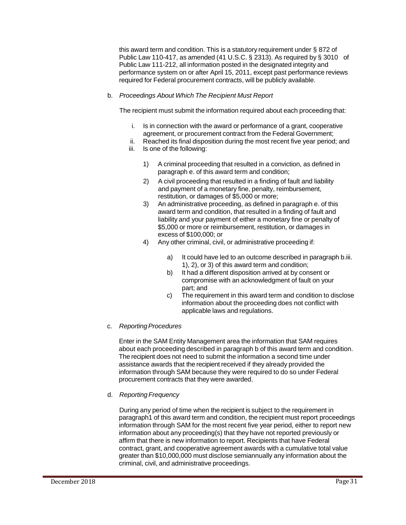this award term and condition. This is a statutory requirement under § 872 of Public Law 110-417, as amended (41 U.S.C. § 2313). As required by § 3010 of Public Law 111-212, all information posted in the designated integrity and performance system on or after April 15, 2011, except past performance reviews required for Federal procurement contracts, will be publicly available.

#### b. *Proceedings About Which The Recipient Must Report*

The recipient must submit the information required about each proceeding that:

- i. Is in connection with the award or performance of a grant, cooperative agreement, or procurement contract from the Federal Government;
- ii. Reached its final disposition during the most recent five year period; and
- iii. Is one of the following:
	- 1) A criminal proceeding that resulted in a conviction, as defined in paragraph e. of this award term and condition;
	- 2) A civil proceeding that resulted in a finding of fault and liability and payment of a monetary fine, penalty, reimbursement, restitution, or damages of \$5,000 or more;
	- 3) An administrative proceeding, as defined in paragraph e. of this award term and condition, that resulted in a finding of fault and liability and your payment of either a monetary fine or penalty of \$5,000 or more or reimbursement, restitution, or damages in excess of \$100,000; or
	- 4) Any other criminal, civil, or administrative proceeding if:
		- a) It could have led to an outcome described in paragraph b.iii. 1), 2), or 3) of this award term and condition;
		- b) It had a different disposition arrived at by consent or compromise with an acknowledgment of fault on your part; and
		- c) The requirement in this award term and condition to disclose information about the proceeding does not conflict with applicable laws and regulations.
- c. Reporting Procedures

Enter in the SAM Entity Management area the information that SAM requires about each proceeding described in paragraph b of this award term and condition. The recipient does not need to submit the information a second time under assistance awards that the recipient received if they already provided the information through SAM because they were required to do so under Federal procurement contracts that they were awarded.

#### d. *ReportingFrequency*

During any period of time when the recipient is subject to the requirement in paragraph1 of this award term and condition, the recipient must report proceedings information through SAM for the most recent five year period, either to report new information about any proceeding(s) that they have not reported previously or affirm that there is new information to report. Recipients that have Federal contract, grant, and cooperative agreement awards with a cumulative total value greater than \$10,000,000 must disclose semiannually any information about the criminal, civil, and administrative proceedings.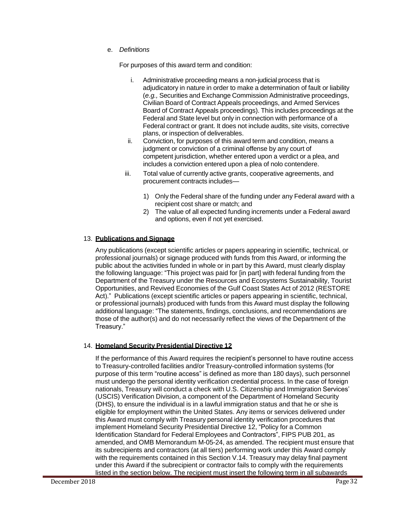e. *Definitions*

For purposes of this award term and condition:

- i. Administrative proceeding means a non-judicial process that is adjudicatory in nature in order to make a determination of fault or liability (*e.g.,* Securities and Exchange Commission Administrative proceedings, Civilian Board of Contract Appeals proceedings, and Armed Services Board of Contract Appeals proceedings). This includes proceedings at the Federal and State level but only in connection with performance of a Federal contract or grant. It does not include audits, site visits, corrective plans, or inspection of deliverables.
- ii. Conviction, for purposes of this award term and condition, means a judgment or conviction of a criminal offense by any court of competent jurisdiction, whether entered upon a verdict or a plea, and includes a conviction entered upon a plea of nolo contendere.
- iii. Total value of currently active grants, cooperative agreements, and procurement contracts includes—
	- 1) Only the Federal share of the funding under any Federal award with a recipient cost share or match; and
	- 2) The value of all expected funding increments under a Federal award and options, even if not yet exercised.

#### 13. **Publications and Signage**

Any publications (except scientific articles or papers appearing in scientific, technical, or professional journals) or signage produced with funds from this Award, or informing the public about the activities funded in whole or in part by this Award, must clearly display the following language: "This project was paid for [in part] with federal funding from the Department of the Treasury under the Resources and Ecosystems Sustainability, Tourist Opportunities, and Revived Economies of the Gulf Coast States Act of 2012 (RESTORE Act)." Publications (except scientific articles or papers appearing in scientific, technical, or professional journals) produced with funds from this Award must display the following additional language: "The statements, findings, conclusions, and recommendations are those of the author(s) and do not necessarily reflect the views of the Department of the Treasury."

#### 14. **Homeland Security Presidential Directive 12**

If the performance of this Award requires the recipient's personnel to have routine access to Treasury-controlled facilities and/or Treasury-controlled information systems (for purpose of this term "routine access" is defined as more than 180 days), such personnel must undergo the personal identity verification credential process. In the case of foreign nationals, Treasury will conduct a check with U.S. Citizenship and Immigration Services' (USCIS) Verification Division, a component of the Department of Homeland Security (DHS), to ensure the individual is in a lawful immigration status and that he or she is eligible for employment within the United States. Any items or services delivered under this Award must comply with Treasury personal identity verification procedures that implement Homeland Security Presidential Directive 12, "Policy for a Common Identification Standard for Federal Employees and Contractors", FIPS PUB 201, as amended, and OMB Memorandum M-05-24, as amended. The recipient must ensure that its subrecipients and contractors (at all tiers) performing work under this Award comply with the requirements contained in this Section V.14. Treasury may delay final payment under this Award if the subrecipient or contractor fails to comply with the requirements listed in the section below. The recipient must insert the following term in all subawards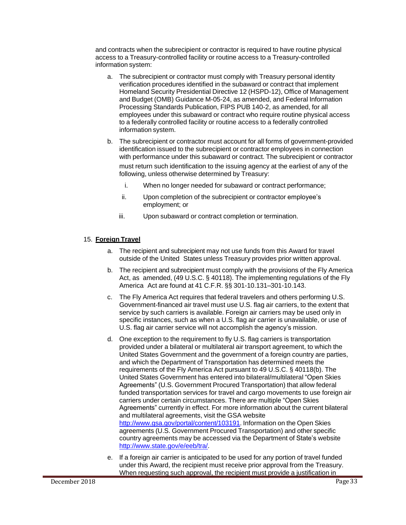and contracts when the subrecipient or contractor is required to have routine physical access to a Treasury-controlled facility or routine access to a Treasury-controlled information system:

- a. The subrecipient or contractor must comply with Treasury personal identity verification procedures identified in the subaward or contract that implement Homeland Security Presidential Directive 12 (HSPD-12), Office of Management and Budget (OMB) Guidance M-05-24, as amended, and Federal Information Processing Standards Publication, FIPS PUB 140-2, as amended, for all employees under this subaward or contract who require routine physical access to a federally controlled facility or routine access to a federally controlled information system.
- b. The subrecipient or contractor must account for all forms of government-provided identification issued to the subrecipient or contractor employees in connection with performance under this subaward or contract. The subrecipient or contractor must return such identification to the issuing agency at the earliest of any of the following, unless otherwise determined by Treasury:
	- i. When no longer needed for subaward or contract performance;
	- ii. Upon completion of the subrecipient or contractor employee's employment; or
	- iii. Upon subaward or contract completion or termination.

#### 15. **Foreign Travel**

- a. The recipient and subrecipient may not use funds from this Award for travel outside of the United States unless Treasury provides prior written approval.
- b. The recipient and subrecipient must comply with the provisions of the Fly America Act, as amended, (49 U.S.C. § 40118). The implementing regulations of the Fly America Act are found at 41 C.F.R. §§ 301-10.131–301-10.143.
- c. The Fly America Act requires that federal travelers and others performing U.S. Government-financed air travel must use U.S. flag air carriers, to the extent that service by such carriers is available. Foreign air carriers may be used only in specific instances, such as when a U.S. flag air carrier is unavailable, or use of U.S. flag air carrier service will not accomplish the agency's mission.
- d. One exception to the requirement to fly U.S. flag carriers is transportation provided under a bilateral or multilateral air transport agreement, to which the United States Government and the government of a foreign country are parties, and which the Department of Transportation has determined meets the requirements of the Fly America Act pursuant to 49 U.S.C. § 40118(b). The United States Government has entered into bilateral/multilateral "Open Skies Agreements" (U.S. Government Procured Transportation) that allow federal funded transportation services for travel and cargo movements to use foreign air carriers under certain circumstances. There are multiple "Open Skies Agreements" currently in effect. For more information about the current bilateral and multilateral agreements, visit the GSA website [http://www.gsa.gov/portal/content/103191.](http://www.gsa.gov/portal/content/103191) Information on the Open Skies agreements (U.S. Government Procured Transportation) and other specific country agreements may be accessed via the Department of State's website [http://www.state.gov/e/eeb/tra/.](http://www.state.gov/e/eeb/tra/)
- e. If a foreign air carrier is anticipated to be used for any portion of travel funded under this Award, the recipient must receive prior approval from the Treasury. When requesting such approval, the recipient must provide a justification in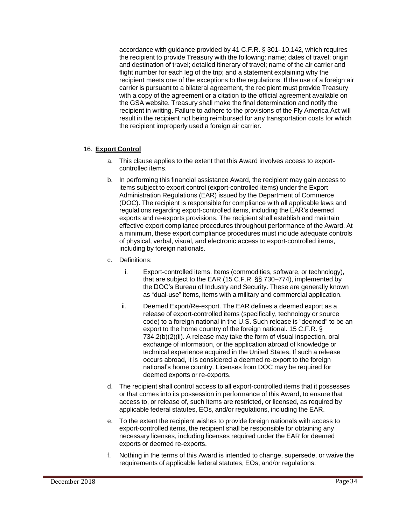accordance with guidance provided by 41 C.F.R. § 301–10.142, which requires the recipient to provide Treasury with the following: name; dates of travel; origin and destination of travel; detailed itinerary of travel; name of the air carrier and flight number for each leg of the trip; and a statement explaining why the recipient meets one of the exceptions to the regulations. If the use of a foreign air carrier is pursuant to a bilateral agreement, the recipient must provide Treasury with a copy of the agreement or a citation to the official agreement available on the GSA website. Treasury shall make the final determination and notify the recipient in writing. Failure to adhere to the provisions of the Fly America Act will result in the recipient not being reimbursed for any transportation costs for which the recipient improperly used a foreign air carrier.

#### 16. **Export Control**

- a. This clause applies to the extent that this Award involves access to exportcontrolled items.
- b. In performing this financial assistance Award, the recipient may gain access to items subject to export control (export-controlled items) under the Export Administration Regulations (EAR) issued by the Department of Commerce (DOC). The recipient is responsible for compliance with all applicable laws and regulations regarding export-controlled items, including the EAR's deemed exports and re-exports provisions. The recipient shall establish and maintain effective export compliance procedures throughout performance of the Award. At a minimum, these export compliance procedures must include adequate controls of physical, verbal, visual, and electronic access to export-controlled items, including by foreign nationals.
- c. Definitions:
	- i. Export-controlled items. Items (commodities, software, or technology), that are subject to the EAR (15 C.F.R. §§ 730–774), implemented by the DOC's Bureau of Industry and Security. These are generally known as "dual-use" items, items with a military and commercial application.
	- ii. Deemed Export/Re-export. The EAR defines a deemed export as a release of export-controlled items (specifically, technology or source code) to a foreign national in the U.S. Such release is "deemed" to be an export to the home country of the foreign national. 15 C.F.R. § 734.2(b)(2)(ii). A release may take the form of visual inspection, oral exchange of information, or the application abroad of knowledge or technical experience acquired in the United States. If such a release occurs abroad, it is considered a deemed re-export to the foreign national's home country. Licenses from DOC may be required for deemed exports or re-exports.
- d. The recipient shall control access to all export-controlled items that it possesses or that comes into its possession in performance of this Award, to ensure that access to, or release of, such items are restricted, or licensed, as required by applicable federal statutes, EOs, and/or regulations, including the EAR.
- e. To the extent the recipient wishes to provide foreign nationals with access to export-controlled items, the recipient shall be responsible for obtaining any necessary licenses, including licenses required under the EAR for deemed exports or deemed re-exports.
- f. Nothing in the terms of this Award is intended to change, supersede, or waive the requirements of applicable federal statutes, EOs, and/or regulations.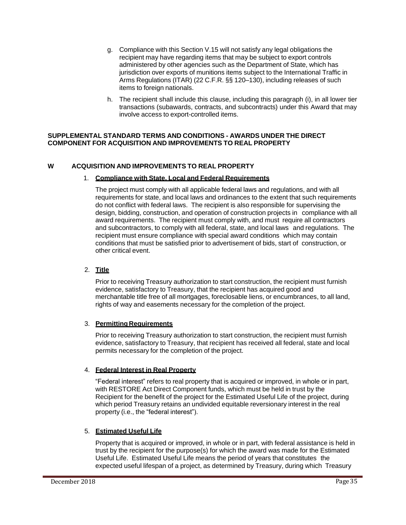- g. Compliance with this Section V.15 will not satisfy any legal obligations the recipient may have regarding items that may be subject to export controls administered by other agencies such as the Department of State, which has jurisdiction over exports of munitions items subject to the International Traffic in Arms Regulations (ITAR) (22 C.F.R. §§ 120–130), including releases of such items to foreign nationals.
- h. The recipient shall include this clause, including this paragraph (i), in all lower tier transactions (subawards, contracts, and subcontracts) under this Award that may involve access to export-controlled items.

#### **SUPPLEMENTAL STANDARD TERMS AND CONDITIONS - AWARDS UNDER THE DIRECT COMPONENT FOR ACQUISITION AND IMPROVEMENTS TO REAL PROPERTY**

#### <span id="page-36-0"></span>**W ACQUISITION AND IMPROVEMENTS TO REAL PROPERTY**

#### 1. **Compliance with State, Local and Federal Requirements**

The project must comply with all applicable federal laws and regulations, and with all requirements for state, and local laws and ordinances to the extent that such requirements do not conflict with federal laws. The recipient is also responsible for supervising the design, bidding, construction, and operation of construction projects in compliance with all award requirements. The recipient must comply with, and must require all contractors and subcontractors, to comply with all federal, state, and local laws and regulations. The recipient must ensure compliance with special award conditions which may contain conditions that must be satisfied prior to advertisement of bids, start of construction, or other critical event.

#### 2. **Title**

Prior to receiving Treasury authorization to start construction, the recipient must furnish evidence, satisfactory to Treasury, that the recipient has acquired good and merchantable title free of all mortgages, foreclosable liens, or encumbrances, to all land, rights of way and easements necessary for the completion of the project.

#### 3. **Permitting Requirements**

Prior to receiving Treasury authorization to start construction, the recipient must furnish evidence, satisfactory to Treasury, that recipient has received all federal, state and local permits necessary for the completion of the project.

#### 4. **Federal Interest in Real Property**

"Federal interest" refers to real property that is acquired or improved, in whole or in part, with RESTORE Act Direct Component funds, which must be held in trust by the Recipient for the benefit of the project for the Estimated Useful Life of the project, during which period Treasury retains an undivided equitable reversionary interest in the real property (i.e., the "federal interest").

#### 5. **Estimated Useful Life**

Property that is acquired or improved, in whole or in part, with federal assistance is held in trust by the recipient for the purpose(s) for which the award was made for the Estimated Useful Life. Estimated Useful Life means the period of years that constitutes the expected useful lifespan of a project, as determined by Treasury, during which Treasury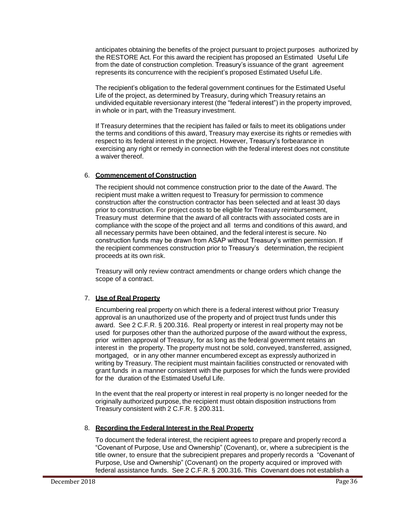anticipates obtaining the benefits of the project pursuant to project purposes authorized by the RESTORE Act. For this award the recipient has proposed an Estimated Useful Life from the date of construction completion. Treasury's issuance of the grant agreement represents its concurrence with the recipient's proposed Estimated Useful Life.

The recipient's obligation to the federal government continues for the Estimated Useful Life of the project, as determined by Treasury, during which Treasury retains an undivided equitable reversionary interest (the "federal interest") in the property improved, in whole or in part, with the Treasury investment.

If Treasury determines that the recipient has failed or fails to meet its obligations under the terms and conditions of this award, Treasury may exercise its rights or remedies with respect to its federal interest in the project. However, Treasury's forbearance in exercising any right or remedy in connection with the federal interest does not constitute a waiver thereof.

#### 6. **Commencement of Construction**

The recipient should not commence construction prior to the date of the Award. The recipient must make a written request to Treasury for permission to commence construction after the construction contractor has been selected and at least 30 days prior to construction. For project costs to be eligible for Treasury reimbursement, Treasury must determine that the award of all contracts with associated costs are in compliance with the scope of the project and all terms and conditions of this award, and all necessary permits have been obtained, and the federal interest is secure. No construction funds may be drawn from ASAP without Treasury's written permission. If the recipient commences construction prior to Treasury's determination, the recipient proceeds at its own risk.

Treasury will only review contract amendments or change orders which change the scope of a contract.

#### 7. **Use of Real Property**

Encumbering real property on which there is a federal interest without prior Treasury approval is an unauthorized use of the property and of project trust funds under this award. See 2 C.F.R. § 200.316. Real property or interest in real property may not be used for purposes other than the authorized purpose of the award without the express, prior written approval of Treasury, for as long as the federal government retains an interest in the property. The property must not be sold, conveyed, transferred, assigned, mortgaged, or in any other manner encumbered except as expressly authorized in writing by Treasury. The recipient must maintain facilities constructed or renovated with grant funds in a manner consistent with the purposes for which the funds were provided for the duration of the Estimated Useful Life.

In the event that the real property or interest in real property is no longer needed for the originally authorized purpose, the recipient must obtain disposition instructions from Treasury consistent with 2 C.F.R. § 200.311.

#### 8. **Recording the Federal Interest in the Real Property**

To document the federal interest, the recipient agrees to prepare and properly record a "Covenant of Purpose, Use and Ownership" (Covenant), or, where a subrecipient is the title owner, to ensure that the subrecipient prepares and properly records a "Covenant of Purpose, Use and Ownership" (Covenant) on the property acquired or improved with federal assistance funds. See 2 C.F.R. § 200.316. This Covenant does not establish a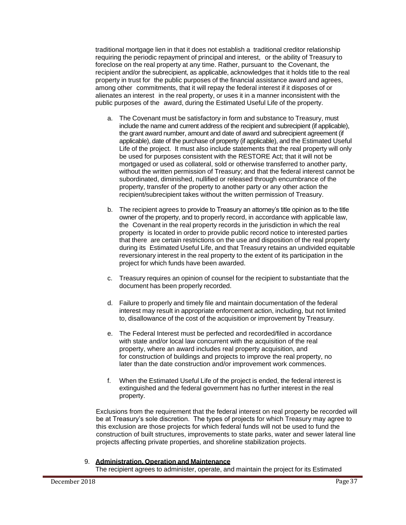traditional mortgage lien in that it does not establish a traditional creditor relationship requiring the periodic repayment of principal and interest, or the ability of Treasury to foreclose on the real property at any time. Rather, pursuant to the Covenant, the recipient and/or the subrecipient, as applicable, acknowledges that it holds title to the real property in trust for the public purposes of the financial assistance award and agrees, among other commitments, that it will repay the federal interest if it disposes of or alienates an interest in the real property, or uses it in a manner inconsistent with the public purposes of the award, during the Estimated Useful Life of the property.

- a. The Covenant must be satisfactory in form and substance to Treasury, must include the name and current address of the recipient and subrecipient (if applicable), the grant award number, amount and date of award and subrecipient agreement (if applicable), date of the purchase of property (if applicable), and the Estimated Useful Life of the project. It must also include statements that the real property will only be used for purposes consistent with the RESTORE Act; that it will not be mortgaged or used as collateral, sold or otherwise transferred to another party, without the written permission of Treasury; and that the federal interest cannot be subordinated, diminished, nullified or released through encumbrance of the property, transfer of the property to another party or any other action the recipient/subrecipient takes without the written permission of Treasury.
- b. The recipient agrees to provide to Treasury an attorney's title opinion as to the title owner of the property, and to properly record, in accordance with applicable law, the Covenant in the real property records in the jurisdiction in which the real property is located in order to provide public record notice to interested parties that there are certain restrictions on the use and disposition of the real property during its Estimated Useful Life, and that Treasury retains an undivided equitable reversionary interest in the real property to the extent of its participation in the project for which funds have been awarded.
- c. Treasury requires an opinion of counsel for the recipient to substantiate that the document has been properly recorded.
- d. Failure to properly and timely file and maintain documentation of the federal interest may result in appropriate enforcement action, including, but not limited to, disallowance of the cost of the acquisition or improvement by Treasury.
- e. The Federal Interest must be perfected and recorded/filed in accordance with state and/or local law concurrent with the acquisition of the real property, where an award includes real property acquisition, and for construction of buildings and projects to improve the real property, no later than the date construction and/or improvement work commences.
- f. When the Estimated Useful Life of the project is ended, the federal interest is extinguished and the federal government has no further interest in the real property.

Exclusions from the requirement that the federal interest on real property be recorded will be at Treasury's sole discretion. The types of projects for which Treasury may agree to this exclusion are those projects for which federal funds will not be used to fund the construction of built structures, improvements to state parks, water and sewer lateral line projects affecting private properties, and shoreline stabilization projects.

9. **Administration, Operation and Maintenance** The recipient agrees to administer, operate, and maintain the project for its Estimated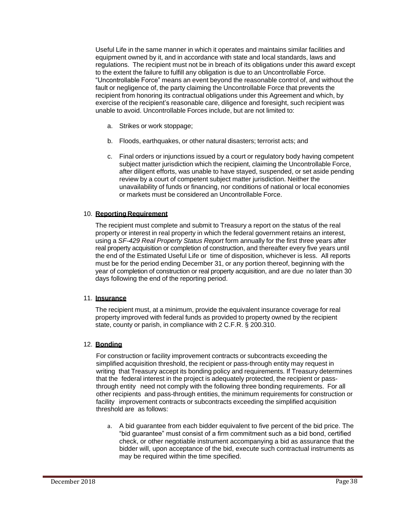Useful Life in the same manner in which it operates and maintains similar facilities and equipment owned by it, and in accordance with state and local standards, laws and regulations. The recipient must not be in breach of its obligations under this award except to the extent the failure to fulfill any obligation is due to an Uncontrollable Force. "Uncontrollable Force" means an event beyond the reasonable control of, and without the fault or negligence of, the party claiming the Uncontrollable Force that prevents the recipient from honoring its contractual obligations under this Agreement and which, by exercise of the recipient's reasonable care, diligence and foresight, such recipient was unable to avoid. Uncontrollable Forces include, but are not limited to:

- a. Strikes or work stoppage;
- b. Floods, earthquakes, or other natural disasters; terrorist acts; and
- c. Final orders or injunctions issued by a court or regulatory body having competent subject matter jurisdiction which the recipient, claiming the Uncontrollable Force, after diligent efforts, was unable to have stayed, suspended, or set aside pending review by a court of competent subject matter jurisdiction. Neither the unavailability of funds or financing, nor conditions of national or local economies or markets must be considered an Uncontrollable Force.

#### 10. **Reporting Requirement**

The recipient must complete and submit to Treasury a report on the status of the real property or interest in real property in which the federal government retains an interest, using a *SF-429 Real Property Status Report* form annually for the first three years after real property acquisition or completion of construction, and thereafter every five years until the end of the Estimated Useful Life or time of disposition, whichever is less. All reports must be for the period ending December 31, or any portion thereof, beginning with the year of completion of construction or real property acquisition, and are due no later than 30 days following the end of the reporting period.

#### 11. **Insurance**

The recipient must, at a minimum, provide the equivalent insurance coverage for real property improved with federal funds as provided to property owned by the recipient state, county or parish, in compliance with 2 C.F.R. § 200.310.

#### 12. **Bonding**

For construction or facility improvement contracts or subcontracts exceeding the simplified acquisition threshold, the recipient or pass-through entity may request in writing that Treasury accept its bonding policy and requirements. If Treasury determines that the federal interest in the project is adequately protected, the recipient or passthrough entity need not comply with the following three bonding requirements. For all other recipients and pass-through entities, the minimum requirements for construction or facility improvement contracts or subcontracts exceeding the simplified acquisition threshold are as follows:

a. A bid guarantee from each bidder equivalent to five percent of the bid price. The "bid guarantee" must consist of a firm commitment such as a bid bond, certified check, or other negotiable instrument accompanying a bid as assurance that the bidder will, upon acceptance of the bid, execute such contractual instruments as may be required within the time specified.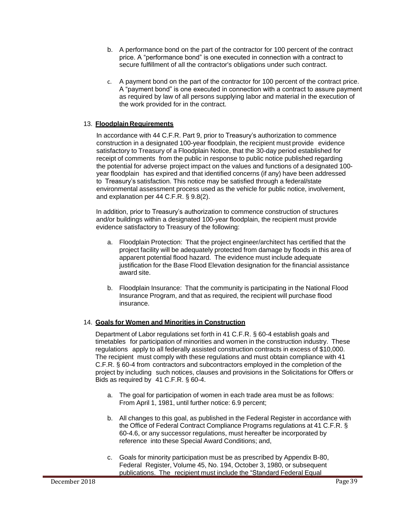- b. A performance bond on the part of the contractor for 100 percent of the contract price. A "performance bond" is one executed in connection with a contract to secure fulfillment of all the contractor's obligations under such contract.
- c. A payment bond on the part of the contractor for 100 percent of the contract price. A "payment bond" is one executed in connection with a contract to assure payment as required by law of all persons supplying labor and material in the execution of the work provided for in the contract.

#### 13. **Floodplain Requirements**

In accordance with 44 C.F.R. Part 9, prior to Treasury's authorization to commence construction in a designated 100-year floodplain, the recipient must provide evidence satisfactory to Treasury of a Floodplain Notice, that the 30-day period established for receipt of comments from the public in response to public notice published regarding the potential for adverse project impact on the values and functions of a designated 100 year floodplain has expired and that identified concerns (if any) have been addressed to Treasury's satisfaction. This notice may be satisfied through a federal/state environmental assessment process used as the vehicle for public notice, involvement, and explanation per 44 C.F.R. § 9.8(2).

In addition, prior to Treasury's authorization to commence construction of structures and/or buildings within a designated 100-year floodplain, the recipient must provide evidence satisfactory to Treasury of the following:

- a. Floodplain Protection: That the project engineer/architect has certified that the project facility will be adequately protected from damage by floods in this area of apparent potential flood hazard. The evidence must include adequate justification for the Base Flood Elevation designation for the financial assistance award site.
- b. Floodplain Insurance: That the community is participating in the National Flood Insurance Program, and that as required, the recipient will purchase flood insurance.

#### 14. **Goals for Women and Minorities in Construction**

Department of Labor regulations set forth in 41 C.F.R. § 60-4 establish goals and timetables for participation of minorities and women in the construction industry. These regulations apply to all federally assisted construction contracts in excess of \$10,000. The recipient must comply with these regulations and must obtain compliance with 41 C.F.R. § 60-4 from contractors and subcontractors employed in the completion of the project by including such notices, clauses and provisions in the Solicitations for Offers or Bids as required by 41 C.F.R. § 60-4.

- a. The goal for participation of women in each trade area must be as follows: From April 1, 1981, until further notice: 6.9 percent;
- b. All changes to this goal, as published in the Federal Register in accordance with the Office of Federal Contract Compliance Programs regulations at 41 C.F.R. § 60-4.6, or any successor regulations, must hereafter be incorporated by reference into these Special Award Conditions; and,
- c. Goals for minority participation must be as prescribed by Appendix B-80, Federal Register, Volume 45, No. 194, October 3, 1980, or subsequent publications. The recipient must include the "Standard Federal Equal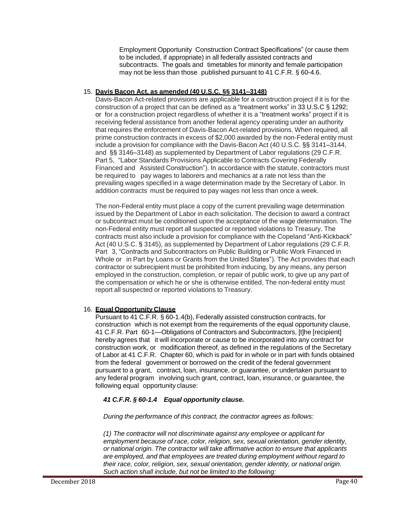Employment Opportunity Construction Contract Specifications" (or cause them to be included, if appropriate) in all federally assisted contracts and subcontracts. The goals and timetables for minority and female participation may not be less than those published pursuant to 41 C.F.R. § 60-4.6.

#### 15. **Davis Bacon Act, as amended (40 U.S.C. §§ 3141–3148)**

Davis-Bacon Act-related provisions are applicable for a construction project if it is for the construction of a project that can be defined as a "treatment works" in 33 U.S.C § 1292; or for a construction project regardless of whether it is a "treatment works" project if it is receiving federal assistance from another federal agency operating under an authority that requires the enforcement of Davis-Bacon Act-related provisions. When required, all prime construction contracts in excess of \$2,000 awarded by the non-Federal entity must include a provision for compliance with the Davis-Bacon Act (40 U.S.C. §§ 3141–3144, and §§ 3146–3148) as supplemented by Department of Labor regulations (29 C.F.R. Part 5, "Labor Standards Provisions Applicable to Contracts Covering Federally Financed and Assisted Construction"). In accordance with the statute, contractors must be required to pay wages to laborers and mechanics at a rate not less than the prevailing wages specified in a wage determination made by the Secretary of Labor. In addition contracts must be required to pay wages not less than once a week.

The non-Federal entity must place a copy of the current prevailing wage determination issued by the Department of Labor in each solicitation. The decision to award a contract or subcontract must be conditioned upon the acceptance of the wage determination. The non-Federal entity must report all suspected or reported violations to Treasury. The contracts must also include a provision for compliance with the Copeland "Anti-Kickback" Act (40 U.S.C. § 3145), as supplemented by Department of Labor regulations (29 C.F.R. Part 3, "Contracts and Subcontractors on Public Building or Public Work Financed in Whole or in Part by Loans or Grants from the United States"). The Act provides that each contractor or subrecipient must be prohibited from inducing, by any means, any person employed in the construction, completion, or repair of public work, to give up any part of the compensation or which he or she is otherwise entitled. The non-federal entity must report all suspected or reported violations to Treasury.

#### 16. **Equal Opportunity Clause**

Pursuant to 41 C.F.R. § 60-1.4(b), Federally assisted construction contracts, for construction which is not exempt from the requirements of the equal opportunity clause, 41 C.F.R. Part 60-1—Obligations of Contractors and Subcontractors, [t]he [recipient] hereby agrees that it will incorporate or cause to be incorporated into any contract for construction work, or modification thereof, as defined in the regulations of the Secretary of Labor at 41 C.F.R. Chapter 60, which is paid for in whole or in part with funds obtained from the federal government or borrowed on the credit of the federal government pursuant to a grant, contract, loan, insurance, or guarantee, or undertaken pursuant to any federal program involving such grant, contract, loan, insurance, or guarantee, the following equal opportunity clause:

#### *41 C.F.R. § 60-1.4 Equal opportunity clause.*

*During the performance of this contract, the contractor agrees as follows:*

*(1) The contractor will not discriminate against any employee or applicant for employment because of race, color, religion, sex, sexual orientation, gender identity, or national origin. The contractor will take affirmative action to ensure that applicants are employed, and that employees are treated during employment without regard to their race, color, religion, sex, sexual orientation, gender identity, or national origin. Such action shall include, but not be limited to the following:*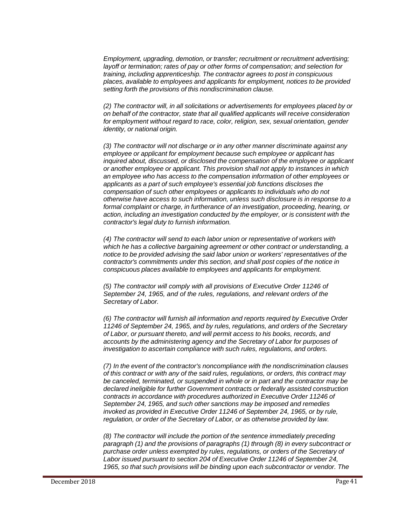*Employment, upgrading, demotion, or transfer; recruitment or recruitment advertising; layoff or termination; rates of pay or other forms of compensation; and selection for training, including apprenticeship. The contractor agrees to post in conspicuous places, available to employees and applicants for employment, notices to be provided setting forth the provisions of this nondiscrimination clause.*

*(2) The contractor will, in all solicitations or advertisements for employees placed by or on behalf of the contractor, state that all qualified applicants will receive consideration for employment without regard to race, color, religion, sex, sexual orientation, gender identity, or national origin.*

*(3) The contractor will not discharge or in any other manner discriminate against any employee or applicant for employment because such employee or applicant has inquired about, discussed, or disclosed the compensation of the employee or applicant or another employee or applicant. This provision shall not apply to instances in which an employee who has access to the compensation information of other employees or applicants as a part of such employee's essential job functions discloses the compensation of such other employees or applicants to individuals who do not otherwise have access to such information, unless such disclosure is in response to a formal complaint or charge, in furtherance of an investigation, proceeding, hearing, or action, including an investigation conducted by the employer, or is consistent with the contractor's legal duty to furnish information.*

*(4) The contractor will send to each labor union or representative of workers with which he has a collective bargaining agreement or other contract or understanding, a notice to be provided advising the said labor union or workers' representatives of the contractor's commitments under this section, and shall post copies of the notice in conspicuous places available to employees and applicants for employment.*

*(5) The contractor will comply with all provisions of Executive Order 11246 of September 24, 1965, and of the rules, regulations, and relevant orders of the Secretary of Labor.*

*(6) The contractor will furnish all information and reports required by Executive Order 11246 of September 24, 1965, and by rules, regulations, and orders of the Secretary of Labor, or pursuant thereto, and will permit access to his books, records, and accounts by the administering agency and the Secretary of Labor for purposes of investigation to ascertain compliance with such rules, regulations, and orders.*

*(7) In the event of the contractor's noncompliance with the nondiscrimination clauses of this contract or with any of the said rules, regulations, or orders, this contract may be canceled, terminated, or suspended in whole or in part and the contractor may be declared ineligible for further Government contracts or federally assisted construction contracts in accordance with procedures authorized in Executive Order 11246 of September 24, 1965, and such other sanctions may be imposed and remedies invoked as provided in Executive Order 11246 of September 24, 1965, or by rule, regulation, or order of the Secretary of Labor, or as otherwise provided by law.*

*(8) The contractor will include the portion of the sentence immediately preceding paragraph (1) and the provisions of paragraphs (1) through (8) in every subcontract or purchase order unless exempted by rules, regulations, or orders of the Secretary of Labor issued pursuant to section 204 of Executive Order 11246 of September 24, 1965, so that such provisions will be binding upon each subcontractor or vendor. The*